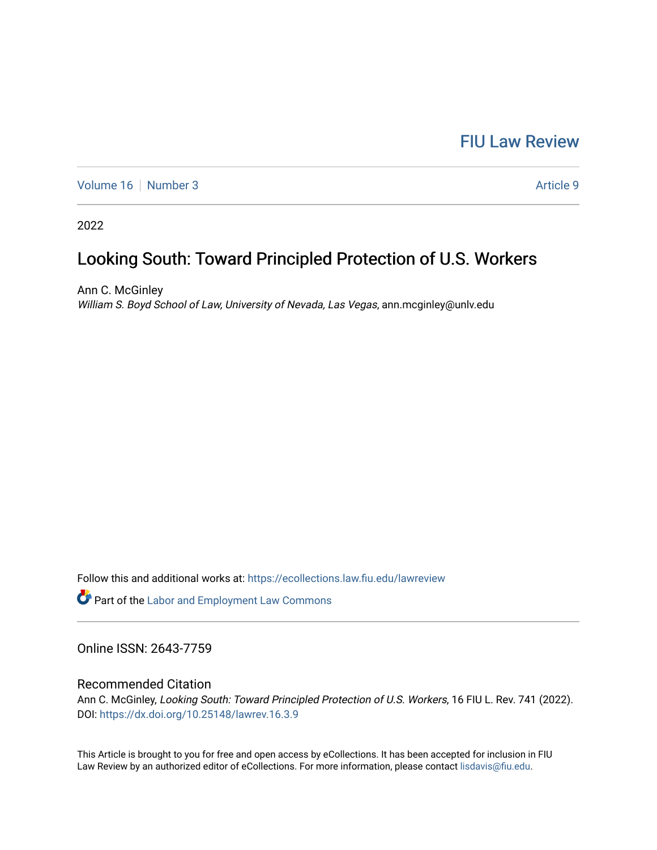## [FIU Law Review](https://ecollections.law.fiu.edu/lawreview)

[Volume 16](https://ecollections.law.fiu.edu/lawreview/vol16) [Number 3](https://ecollections.law.fiu.edu/lawreview/vol16/iss3) Article 9

2022

# Looking South: Toward Principled Protection of U.S. Workers

Ann C. McGinley William S. Boyd School of Law, University of Nevada, Las Vegas, ann.mcginley@unlv.edu

Follow this and additional works at: [https://ecollections.law.fiu.edu/lawreview](https://ecollections.law.fiu.edu/lawreview?utm_source=ecollections.law.fiu.edu%2Flawreview%2Fvol16%2Fiss3%2F9&utm_medium=PDF&utm_campaign=PDFCoverPages)

Part of the [Labor and Employment Law Commons](https://network.bepress.com/hgg/discipline/909?utm_source=ecollections.law.fiu.edu%2Flawreview%2Fvol16%2Fiss3%2F9&utm_medium=PDF&utm_campaign=PDFCoverPages)

Online ISSN: 2643-7759

### Recommended Citation

Ann C. McGinley, Looking South: Toward Principled Protection of U.S. Workers, 16 FIU L. Rev. 741 (2022). DOI:<https://dx.doi.org/10.25148/lawrev.16.3.9>

This Article is brought to you for free and open access by eCollections. It has been accepted for inclusion in FIU Law Review by an authorized editor of eCollections. For more information, please contact [lisdavis@fiu.edu](mailto:lisdavis@fiu.edu).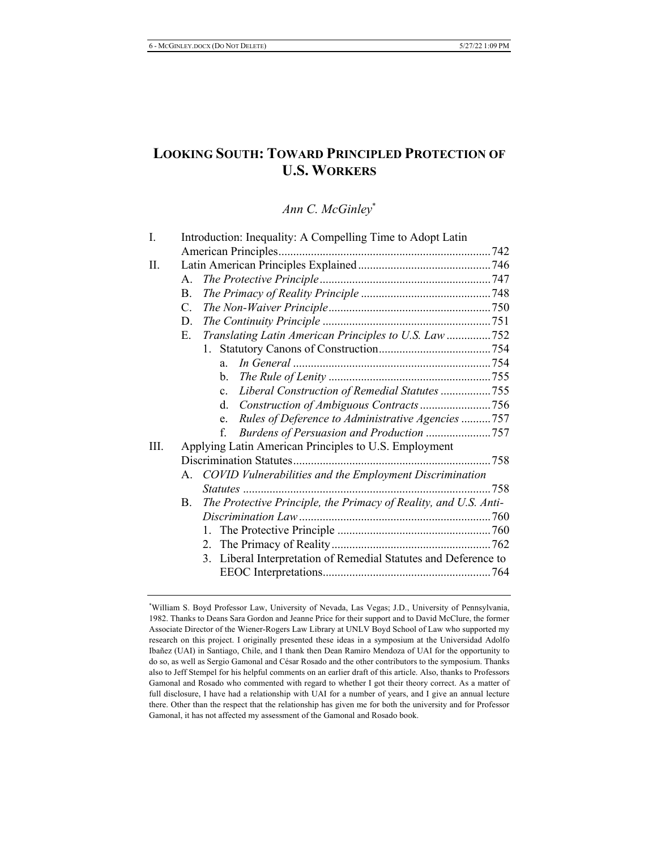## **LOOKING SOUTH: TOWARD PRINCIPLED PROTECTION OF U.S. WORKERS**

*Ann C. McGinley*<sup>\*</sup>

| I.   | Introduction: Inequality: A Compelling Time to Adopt Latin |                                                                  |  |  |  |  |
|------|------------------------------------------------------------|------------------------------------------------------------------|--|--|--|--|
|      |                                                            |                                                                  |  |  |  |  |
| Π.   |                                                            |                                                                  |  |  |  |  |
|      | А.                                                         |                                                                  |  |  |  |  |
|      | B.                                                         |                                                                  |  |  |  |  |
|      | $C_{\cdot}$                                                |                                                                  |  |  |  |  |
|      | D.                                                         |                                                                  |  |  |  |  |
|      | Е.                                                         | Translating Latin American Principles to U.S. Law 752            |  |  |  |  |
|      |                                                            |                                                                  |  |  |  |  |
|      |                                                            | $a_{\cdot}$                                                      |  |  |  |  |
|      |                                                            | b.                                                               |  |  |  |  |
|      |                                                            | Liberal Construction of Remedial Statutes 755<br>$\mathbf{c}$ .  |  |  |  |  |
|      |                                                            | $d_{\cdot}$                                                      |  |  |  |  |
|      |                                                            | Rules of Deference to Administrative Agencies 757<br>e.          |  |  |  |  |
|      |                                                            | f.                                                               |  |  |  |  |
| III. |                                                            | Applying Latin American Principles to U.S. Employment            |  |  |  |  |
|      |                                                            |                                                                  |  |  |  |  |
|      |                                                            | A. COVID Vulnerabilities and the Employment Discrimination       |  |  |  |  |
|      |                                                            |                                                                  |  |  |  |  |
|      | B.                                                         | The Protective Principle, the Primacy of Reality, and U.S. Anti- |  |  |  |  |
|      |                                                            |                                                                  |  |  |  |  |
|      |                                                            | 1.                                                               |  |  |  |  |
|      |                                                            |                                                                  |  |  |  |  |
|      |                                                            | 3. Liberal Interpretation of Remedial Statutes and Deference to  |  |  |  |  |
|      |                                                            |                                                                  |  |  |  |  |

<sup>\*</sup>William S. Boyd Professor Law, University of Nevada, Las Vegas; J.D., University of Pennsylvania, 1982. Thanks to Deans Sara Gordon and Jeanne Price for their support and to David McClure, the former Associate Director of the Wiener-Rogers Law Library at UNLV Boyd School of Law who supported my research on this project. I originally presented these ideas in a symposium at the Universidad Adolfo Ibañez (UAI) in Santiago, Chile, and I thank then Dean Ramiro Mendoza of UAI for the opportunity to do so, as well as Sergio Gamonal and César Rosado and the other contributors to the symposium. Thanks also to Jeff Stempel for his helpful comments on an earlier draft of this article. Also, thanks to Professors Gamonal and Rosado who commented with regard to whether I got their theory correct. As a matter of full disclosure, I have had a relationship with UAI for a number of years, and I give an annual lecture there. Other than the respect that the relationship has given me for both the university and for Professor Gamonal, it has not affected my assessment of the Gamonal and Rosado book.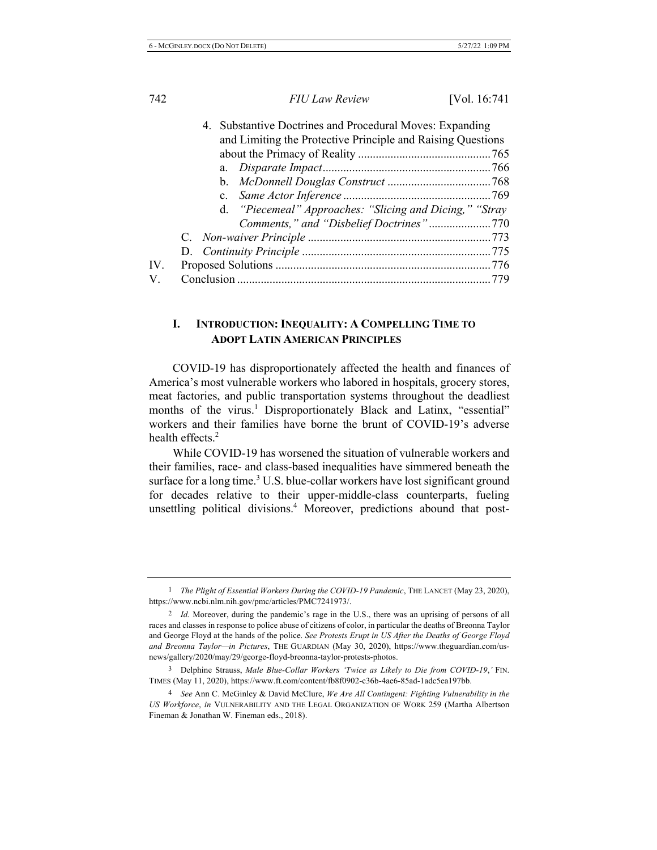|             |  | 4. Substantive Doctrines and Procedural Moves: Expanding<br>and Limiting the Protective Principle and Raising Questions |  |  |
|-------------|--|-------------------------------------------------------------------------------------------------------------------------|--|--|
|             |  |                                                                                                                         |  |  |
|             |  |                                                                                                                         |  |  |
|             |  |                                                                                                                         |  |  |
|             |  |                                                                                                                         |  |  |
|             |  |                                                                                                                         |  |  |
|             |  | d. "Piecemeal" Approaches: "Slicing and Dicing," "Stray                                                                 |  |  |
|             |  |                                                                                                                         |  |  |
|             |  |                                                                                                                         |  |  |
|             |  |                                                                                                                         |  |  |
| IV.         |  |                                                                                                                         |  |  |
| $V_{\cdot}$ |  |                                                                                                                         |  |  |

#### **1**. **.** INTRODUCTION: INEQUALITY: A COMPELLING TIME TO **ADOPT LATIN AMERICAN PRINCIPLES**

COVID-19 has disproportionately affected the health and finances of America's most vulnerable workers who labored in hospitals, grocery stores, meat factories, and public transportation systems throughout the deadliest months of the virus.<sup>1</sup> Disproportionately Black and Latinx, "essential" workers and their families have borne the brunt of COVID-19's adverse health effects. $2$ 

While COVID-19 has worsened the situation of vulnerable workers and their families, race- and class-based inequalities have simmered beneath the surface for a long time.<sup>3</sup> U.S. blue-collar workers have lost significant ground for decades relative to their upper-middle-class counterparts, fueling unsettling political divisions.<sup>4</sup> Moreover, predictions abound that post-

<sup>&</sup>lt;sup>1</sup> The Plight of Essential Workers During the COVID-19 Pandemic, THE LANCET (May 23, 2020), https://www.ncbi.nlm.nih.gov/pmc/articles/PMC7241973/.

<sup>2</sup> Id. Moreover, during the pandemic's rage in the U.S., there was an uprising of persons of all races and classes in response to police abuse of citizens of color, in particular the deaths of Breonna Taylor and George Floyd at the hands of the police. See Protests Erupt in US After the Deaths of George Floyd and Breonna Taylor—in Pictures, THE GUARDIAN (May 30, 2020), https://www.theguardian.com/usnews/gallery/2020/may/29/george-floyd-breonna-taylor-protests-photos.

<sup>3</sup> Delphine Strauss, Male Blue-Collar Workers 'Twice as Likely to Die from COVID-19,' FIN. TIMES (May 11, 2020), https://www.ft.com/content/fb8f0902-c36b-4ae6-85ad-1adc5ea197bb.

<sup>&</sup>lt;sup>4</sup> See Ann C. McGinley & David McClure, We Are All Contingent: Fighting Vulnerability in the US Workforce, in VULNERABILITY AND THE LEGAL ORGANIZATION OF WORK 259 (Martha Albertson Fineman & Jonathan W. Fineman eds., 2018).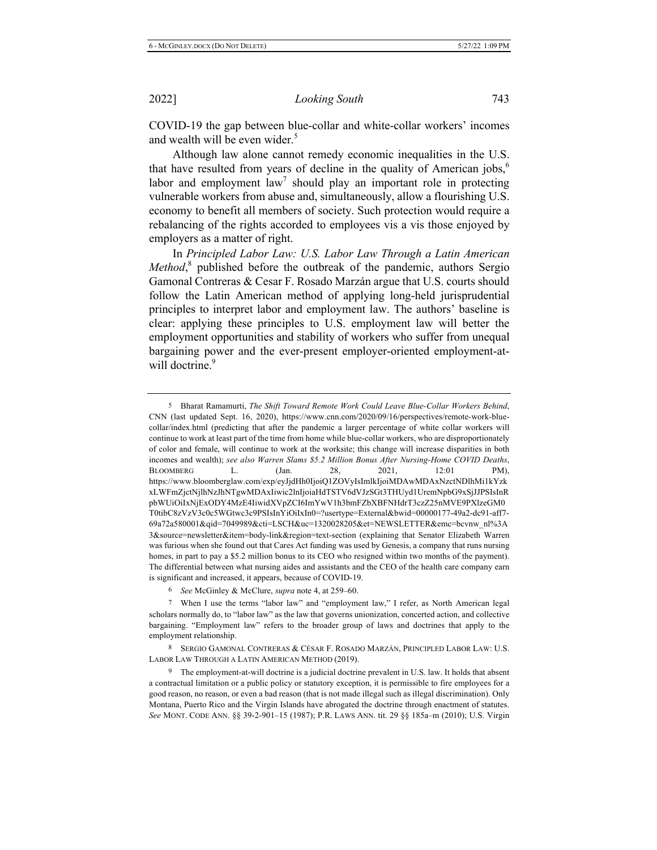COVID-19 the gap between blue-collar and white-collar workers' incomes and wealth will be even wider.<sup>5</sup>

Although law alone cannot remedy economic inequalities in the U.S. that have resulted from years of decline in the quality of American jobs,<sup>6</sup> labor and employment law<sup>7</sup> should play an important role in protecting vulnerable workers from abuse and, simultaneously, allow a flourishing U.S. economy to benefit all members of society. Such protection would require a rebalancing of the rights accorded to employees vis a vis those enjoyed by employers as a matter of right.

In Principled Labor Law: U.S. Labor Law Through a Latin American *Method*,<sup>8</sup> published before the outbreak of the pandemic, authors Sergio Gamonal Contreras & Cesar F. Rosado Marzán argue that U.S. courts should follow the Latin American method of applying long-held jurisprudential principles to interpret labor and employment law. The authors' baseline is clear: applying these principles to U.S. employment law will better the employment opportunities and stability of workers who suffer from unequal bargaining power and the ever-present employer-oriented employment-atwill doctrine.<sup>9</sup>

<sup>5</sup> Bharat Ramamurti, *The Shift Toward Remote Work Could Leave Blue-Collar Workers Behind*, CNN (last updated Sept. 16, 2020), https://www.cnn.com/2020/09/16/perspectives/remote-work-bluecollar/index.html (predicting that after the pandemic a larger percentage of white collar workers will continue to work at least part of the time from home while blue-collar workers, who are disproportionately of color and female, will continue to work at the worksite; this change will increase disparities in both incomes and wealth); see also Warren Slams \$5.2 Million Bonus After Nursing-Home COVID Deaths, BLOOMBERG L. (Jan. 28, 2021, 12:01 PM), https://www.bloomberglaw.com/exp/eyJjdHh0IjoiQ1ZOVyIsImlkIjoiMDAwMDAxNzctNDlhMi1kYzk xLWFmZjctNjlhNzJhNTgwMDAxIiwic2lnIjoiaHdTSTV6dVJzSGt3THUyd1UremNpbG9xSjJJPSIsInR pbWUiOilxNjExODY4MzE4IiwidXVpZCI6ImYwV1h3bmFZbXBFNHdrT3czZ25nMVE9PXlzeGM0 T0tibC8zVzV3c0c5WGtwc3c9PSIsInYiOiIxIn0=?usertype=External&bwid=00000177-49a2-dc91-aff7-69a72a580001&qid=7049989&cti=LSCH&uc=1320028205&et=NEWSLETTER&emc=bcvnw nl%3A 3&source=newsletter&item=body-link&region=text-section (explaining that Senator Elizabeth Warren was furious when she found out that Cares Act funding was used by Genesis, a company that runs nursing homes, in part to pay a \$5.2 million bonus to its CEO who resigned within two months of the payment). The differential between what nursing aides and assistants and the CEO of the health care company earn is significant and increased, it appears, because of COVID-19.

<sup>&</sup>lt;sup>6</sup> See McGinley & McClure, *supra* note 4, at 259–60.

<sup>7</sup> When I use the terms "labor law" and "employment law," I refer, as North American legal scholars normally do, to "labor law" as the law that governs unionization, concerted action, and collective bargaining. "Employment law" refers to the broader group of laws and doctrines that apply to the employment relationship.

<sup>8</sup> SERGIO GAMONAL CONTRERAS & CÉSAR F. ROSADO MARZÁN, PRINCIPLED LABOR LAW: U.S. LABOR LAW THROUGH A LATIN AMERICAN METHOD (2019).

<sup>9</sup> The employment-at-will doctrine is a judicial doctrine prevalent in U.S. law. It holds that absent a contractual limitation or a public policy or statutory exception, it is permissible to fire employees for a good reason, no reason, or even a bad reason (that is not made illegal such as illegal discrimination). Only Montana, Puerto Rico and the Virgin Islands have abrogated the doctrine through enactment of statutes. See MONT. CODE ANN. §§ 39-2-901-15 (1987); P.R. LAWS ANN. tit. 29 §§ 185a-m (2010); U.S. Virgin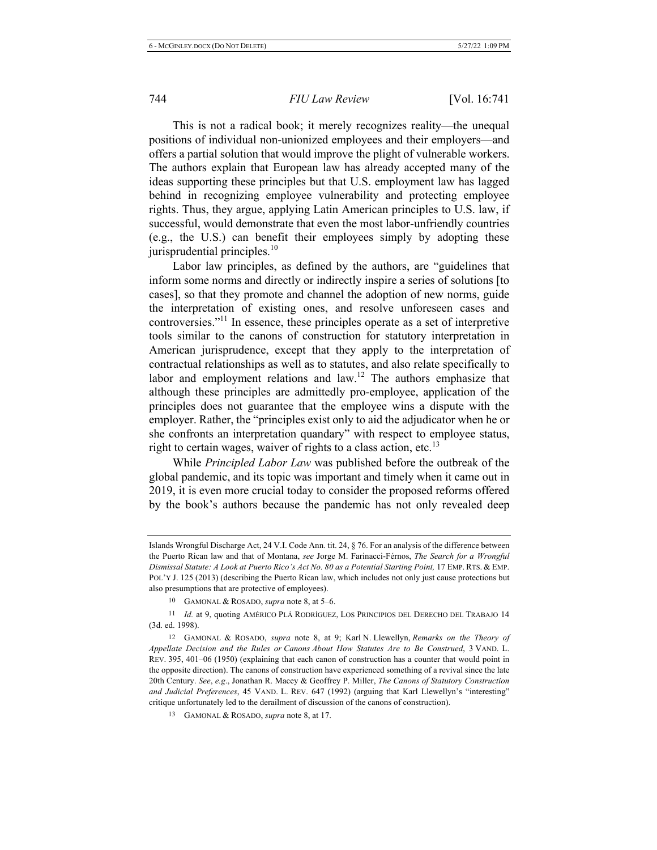This is not a radical book; it merely recognizes reality—the unequal positions of individual non-unionized employees and their employers—and offers a partial solution that would improve the plight of vulnerable workers. The authors explain that European law has already accepted many of the ideas supporting these principles but that U.S. employment law has lagged behind in recognizing employee vulnerability and protecting employee rights. Thus, they argue, applying Latin American principles to U.S. law, if successful, would demonstrate that even the most labor-unfriendly countries (e.g., the U.S.) can benefit their employees simply by adopting these jurisprudential principles. $^{10}$ 

Labor law principles, as defined by the authors, are "guidelines that inform some norms and directly or indirectly inspire a series of solutions [to cases], so that they promote and channel the adoption of new norms, guide the interpretation of existing ones, and resolve unforeseen cases and controversies."<sup>11</sup> In essence, these principles operate as a set of interpretive tools similar to the canons of construction for statutory interpretation in American jurisprudence, except that they apply to the interpretation of contractual relationships as well as to statutes, and also relate specifically to labor and employment relations and law.<sup>12</sup> The authors emphasize that although these principles are admittedly pro-employee, application of the principles does not guarantee that the employee wins a dispute with the employer. Rather, the "principles exist only to aid the adjudicator when he or she confronts an interpretation quandary" with respect to employee status, right to certain wages, waiver of rights to a class action, etc.<sup>13</sup>

While Principled Labor Law was published before the outbreak of the global pandemic, and its topic was important and timely when it came out in 2019, it is even more crucial today to consider the proposed reforms offered by the book's authors because the pandemic has not only revealed deep

Islands Wrongful Discharge Act, 24 V.I. Code Ann. tit. 24,  $\S$  76. For an analysis of the difference between the Puerto Rican law and that of Montana, see Jorge M. Farinacci-Férnos, The Search for a Wrongful Dismissal Statute: A Look at Puerto Rico's Act No. 80 as a Potential Starting Point, 17 EMP. RTS. & EMP. POL'Y J. 125 (2013) (describing the Puerto Rican law, which includes not only just cause protections but also presumptions that are protective of employees).

<sup>10</sup> GAMONAL & ROSADO, *supra* note 8, at 5–6.

<sup>11</sup> Id. at 9, quoting AMÉRICO PLÁ RODRÍGUEZ, LOS PRINCIPIOS DEL DERECHO DEL TRABAJO 14 (3d. ed. 1998).

<sup>&</sup>lt;sup>12</sup> GAMONAL & ROSADO, *supra* note 8, at 9; Karl N. Llewellyn, Remarks on the Theory of Appellate Decision and the Rules or Canons About How Statutes Are to Be Construed, 3 VAND. L. REV. 395, 401-06 (1950) (explaining that each canon of construction has a counter that would point in the opposite direction). The canons of construction have experienced something of a revival since the late 20th Century. See, e.g., Jonathan R. Macey & Geoffrey P. Miller, The Canons of Statutory Construction and Judicial Preferences, 45 VAND. L. REV. 647 (1992) (arguing that Karl Llewellyn's "interesting" eritique unfortunately led to the derailment of discussion of the canons of construction).

<sup>13</sup> GAMONAL & ROSADO, *supra* note 8, at 17.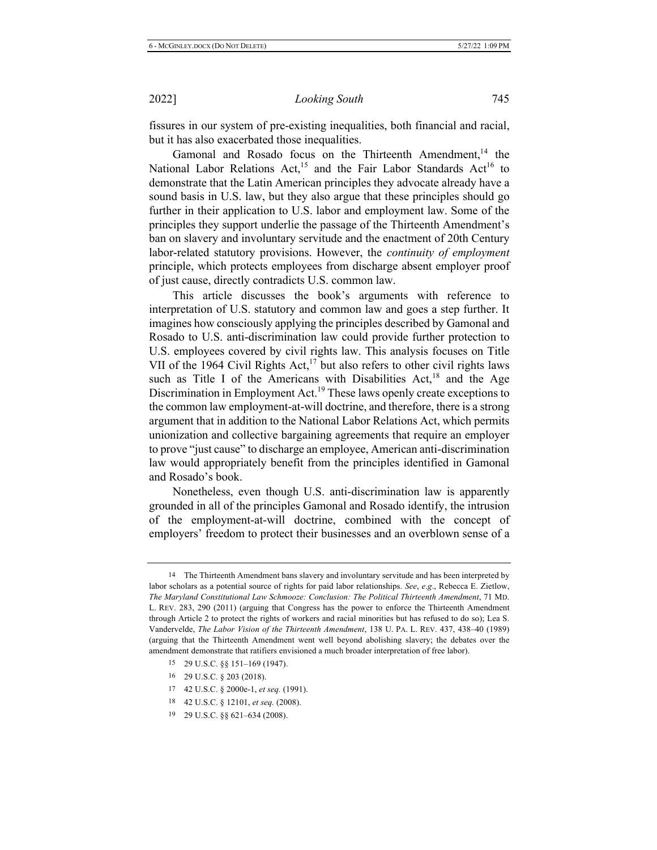fissures in our system of pre-existing inequalities, both financial and racial, but it has also exacerbated those inequalities.

Gamonal and Rosado focus on the Thirteenth Amendment,<sup>14</sup> the National Labor Relations Act,<sup>15</sup> and the Fair Labor Standards Act<sup>16</sup> to demonstrate that the Latin American principles they advocate already have a sound basis in U.S. law, but they also argue that these principles should go further in their application to U.S. labor and employment law. Some of the principles they support underlie the passage of the Thirteenth Amendment's ban on slavery and involuntary servitude and the enactment of 20th Century labor-related statutory provisions. However, the *continuity of employment* principle, which protects employees from discharge absent employer proof of just cause, directly contradicts U.S. common law.

This article discusses the book's arguments with reference to interpretation of U.S. statutory and common law and goes a step further. It imagines how consciously applying the principles described by Gamonal and Rosado to U.S. anti-discrimination law could provide further protection to U.S. employees covered by civil rights law. This analysis focuses on Title VII of the 1964 Civil Rights Act,<sup>17</sup> but also refers to other civil rights laws such as Title I of the Americans with Disabilities  $Act<sub>18</sub><sup>18</sup>$  and the Age Discrimination in Employment Act.<sup>19</sup> These laws openly create exceptions to the common law employment-at-will doctrine, and therefore, there is a strong argument that in addition to the National Labor Relations Act, which permits unionization and collective bargaining agreements that require an employer to prove "just cause" to discharge an employee, American anti-discrimination law would appropriately benefit from the principles identified in Gamonal and Rosado's book.

Nonetheless, even though U.S. anti-discrimination law is apparently grounded in all of the principles Gamonal and Rosado identify, the intrusion of the employment-at-will doctrine, combined with the concept of employers' freedom to protect their businesses and an overblown sense of a

- $15$  29 U.S.C. §§ 151-169 (1947).
- 16 29 U.S.C.  $\S$  203 (2018).
- 17 42 U.S.C. § 2000e-1, *et seq.* (1991).
- 18 42 U.S.C. § 12101, et seq. (2008).
- $19$  29 U.S.C. §§ 621–634 (2008).

<sup>&</sup>lt;sup>14</sup> The Thirteenth Amendment bans slavery and involuntary servitude and has been interpreted by labor scholars as a potential source of rights for paid labor relationships. See, e.g., Rebecca E. Zietlow, The Maryland Constitutional Law Schmooze: Conclusion: The Political Thirteenth Amendment, 71 MD. L. REV. 283, 290 (2011) (arguing that Congress has the power to enforce the Thirteenth Amendment through Article 2 to protect the rights of workers and racial minorities but has refused to do so); Lea S. Vandervelde, The Labor Vision of the Thirteenth Amendment, 138 U. PA. L. REV. 437, 438-40 (1989) (arguing that the Thirteenth Amendment went well beyond abolishing slavery; the debates over the amendment demonstrate that ratifiers envisioned a much broader interpretation of free labor).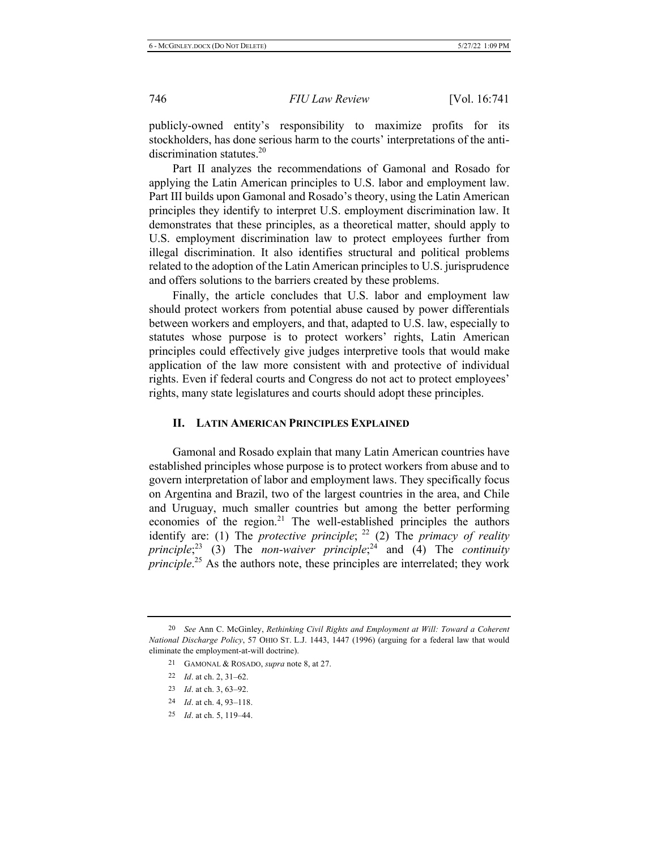publicly-owned entity's responsibility to maximize profits for its stockholders, has done serious harm to the courts' interpretations of the antidiscrimination statutes. $20$ 

Part II analyzes the recommendations of Gamonal and Rosado for applying the Latin American principles to U.S. labor and employment law. Part III builds upon Gamonal and Rosado's theory, using the Latin American principles they identify to interpret U.S. employment discrimination law. It demonstrates that these principles, as a theoretical matter, should apply to U.S. employment discrimination law to protect employees further from illegal discrimination. It also identifies structural and political problems related to the adoption of the Latin American principles to U.S. jurisprudence and offers solutions to the barriers created by these problems.

Finally, the article concludes that U.S. labor and employment law should protect workers from potential abuse caused by power differentials between workers and employers, and that, adapted to U.S. law, especially to statutes whose purpose is to protect workers' rights, Latin American principles could effectively give judges interpretive tools that would make application of the law more consistent with and protective of individual rights. Even if federal courts and Congress do not act to protect employees' rights, many state legislatures and courts should adopt these principles.

#### II. LATIN AMERICAN PRINCIPLES EXPLAINED

Gamonal and Rosado explain that many Latin American countries have established principles whose purpose is to protect workers from abuse and to govern interpretation of labor and employment laws. They specifically focus on Argentina and Brazil, two of the largest countries in the area, and Chile and Uruguay, much smaller countries but among the better performing economies of the region.<sup>21</sup> The well-established principles the authors identify are: (1) The *protective principle*;  $^{22}$  (2) The *primacy of reality principle*;<sup>23</sup> (3) The *non-waiver principle*;<sup>24</sup> and (4) The *continuity principle*.<sup>25</sup> As the authors note, these principles are interrelated; they work

25 *Id.* at ch. 5, 119–44.

<sup>&</sup>lt;sup>20</sup> See Ann C. McGinley, Rethinking Civil Rights and Employment at Will: Toward a Coherent National Discharge Policy, 57 OHIO ST. L.J. 1443, 1447 (1996) (arguing for a federal law that would eliminate the employment-at-will doctrine).

<sup>21</sup> GAMONAL & ROSADO, *supra* note 8, at 27.

<sup>22</sup> Id. at ch. 2,  $31-62$ .

<sup>23</sup> *Id.* at ch. 3, 63–92.

<sup>24</sup> *Id.* at ch. 4, 93–118.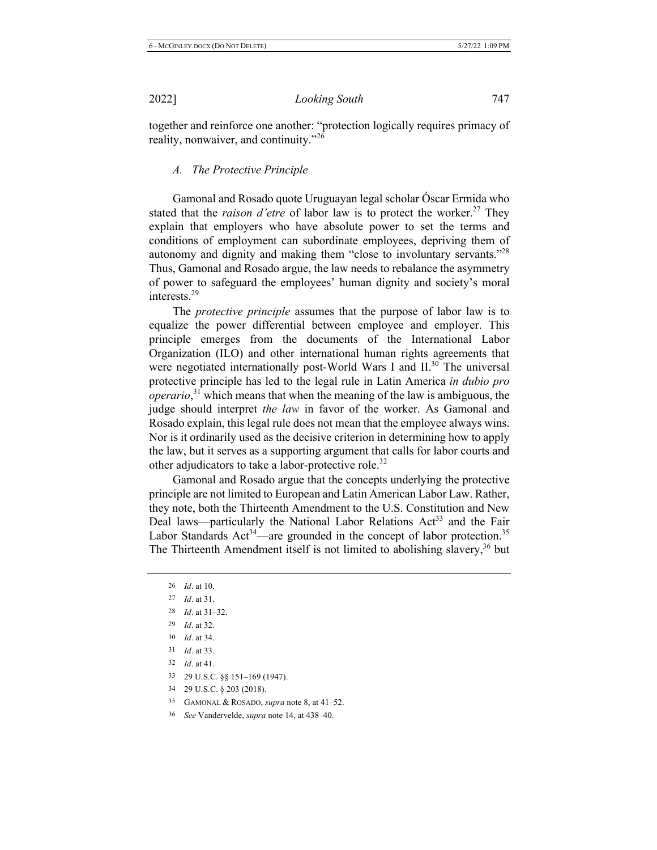together and reinforce one another: "protection logically requires primacy of reality, nonwaiver, and continuity."<sup>26</sup>

### *A. The Protective Principle*

Gamonal and Rosado quote Uruguayan legal scholar Óscar Ermida who stated that the *raison d'etre* of labor law is to protect the worker.<sup>27</sup> They explain that employers who have absolute power to set the terms and conditions of employment can subordinate employees, depriving them of autonomy and dignity and making them "close to involuntary servants."<sup>28</sup> Thus, Gamonal and Rosado argue, the law needs to rebalance the asymmetry of power to safeguard the employees' human dignity and society's moral interests. $29$ 

The *protective principle* assumes that the purpose of labor law is to equalize the power differential between employee and employer. This principle emerges from the documents of the International Labor Organization (ILO) and other international human rights agreements that were negotiated internationally post-World Wars I and II.<sup>30</sup> The universal protective principle has led to the legal rule in Latin America in dubio pro *operario*,<sup>31</sup> which means that when the meaning of the law is ambiguous, the judge should interpret the law in favor of the worker. As Gamonal and Rosado explain, this legal rule does not mean that the employee always wins. Nor is it ordinarily used as the decisive criterion in determining how to apply the law, but it serves as a supporting argument that calls for labor courts and other adjudicators to take a labor-protective role.<sup>32</sup>

Gamonal and Rosado argue that the concepts underlying the protective principle are not limited to European and Latin American Labor Law. Rather, they note, both the Thirteenth Amendment to the U.S. Constitution and New Deal laws—particularly the National Labor Relations Act<sup>33</sup> and the Fair Labor Standards  $\text{Act}^{34}$ —are grounded in the concept of labor protection.<sup>35</sup> The Thirteenth Amendment itself is not limited to abolishing slavery,  $36$  but

*Id.* at 10. *Id.* at 31. *Id.* at  $31-32$ . *Id.* at 32. *Id.* at 34. *Id.* at 33. *Id.* at 41. 33 29 U.S.C. §§ 151-169 (1947). 34 29 U.S.C. § 203 (2018).

35 GAMONAL & ROSADO, *supra* note 8, at 41–52.

<sup>36</sup> See Vandervelde, *supra* note 14, at 438–40.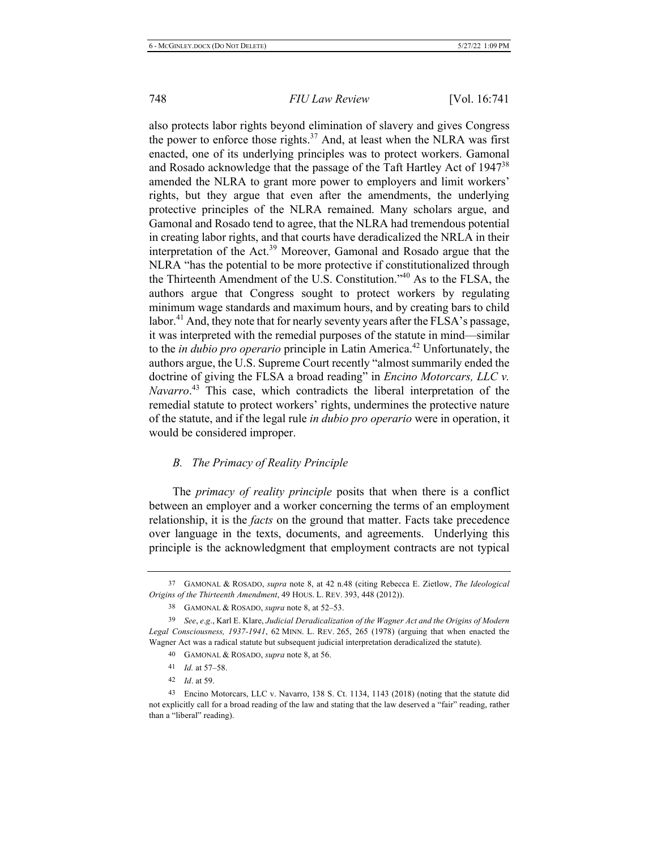also protects labor rights beyond elimination of slavery and gives Congress the power to enforce those rights.<sup>37</sup> And, at least when the NLRA was first enacted, one of its underlying principles was to protect workers. Gamonal and Rosado acknowledge that the passage of the Taft Hartley Act of 1947<sup>38</sup> amended the NLRA to grant more power to employers and limit workers' rights, but they argue that even after the amendments, the underlying protective principles of the NLRA remained. Many scholars argue, and Gamonal and Rosado tend to agree, that the NLRA had tremendous potential in creating labor rights, and that courts have deradicalized the NRLA in their interpretation of the Act.<sup>39</sup> Moreover, Gamonal and Rosado argue that the NLRA "has the potential to be more protective if constitutionalized through the Thirteenth Amendment of the U.S. Constitution.<sup> $,40$ </sup> As to the FLSA, the authors argue that Congress sought to protect workers by regulating minimum wage standards and maximum hours, and by creating bars to child labor.<sup>41</sup> And, they note that for nearly seventy years after the FLSA's passage, it was interpreted with the remedial purposes of the statute in mind—similar to the *in dubio pro operario* principle in Latin America.<sup>42</sup> Unfortunately, the authors argue, the U.S. Supreme Court recently "almost summarily ended the doctrine of giving the FLSA a broad reading" in *Encino Motorcars*, LLC v. Navarro.<sup>43</sup> This case, which contradicts the liberal interpretation of the remedial statute to protect workers' rights, undermines the protective nature of the statute, and if the legal rule in dubio pro operario were in operation, it would be considered improper.

### *B. The Primacy of Reality Principle*

The *primacy of reality principle* posits that when there is a conflict between an employer and a worker concerning the terms of an employment relationship, it is the *facts* on the ground that matter. Facts take precedence over language in the texts, documents, and agreements. Underlying this principle is the acknowledgment that employment contracts are not typical

<sup>&</sup>lt;sup>37</sup> GAMONAL & ROSADO, *supra* note 8, at 42 n.48 (citing Rebecca E. Zietlow, *The Ideological* Origins of the Thirteenth Amendment, 49 HOUS. L. REV. 393, 448 (2012)).

<sup>38</sup> GAMONAL & ROSADO, *supra* note 8, at 52–53.

<sup>&</sup>lt;sup>39</sup> See, e.g., Karl E. Klare, Judicial Deradicalization of the Wagner Act and the Origins of Modern Legal Consciousness, 1937-1941, 62 MINN. L. REV. 265, 265 (1978) (arguing that when enacted the Wagner Act was a radical statute but subsequent judicial interpretation deradicalized the statute).

<sup>40</sup> GAMONAL & ROSADO, *supra* note 8, at 56.

<sup>41</sup> *Id.* at 57-58.

<sup>42</sup> *Id.* at 59.

<sup>43</sup> Encino Motorcars, LLC v. Navarro, 138 S. Ct. 1134, 1143 (2018) (noting that the statute did not explicitly call for a broad reading of the law and stating that the law deserved a "fair" reading, rather than a "liberal" reading).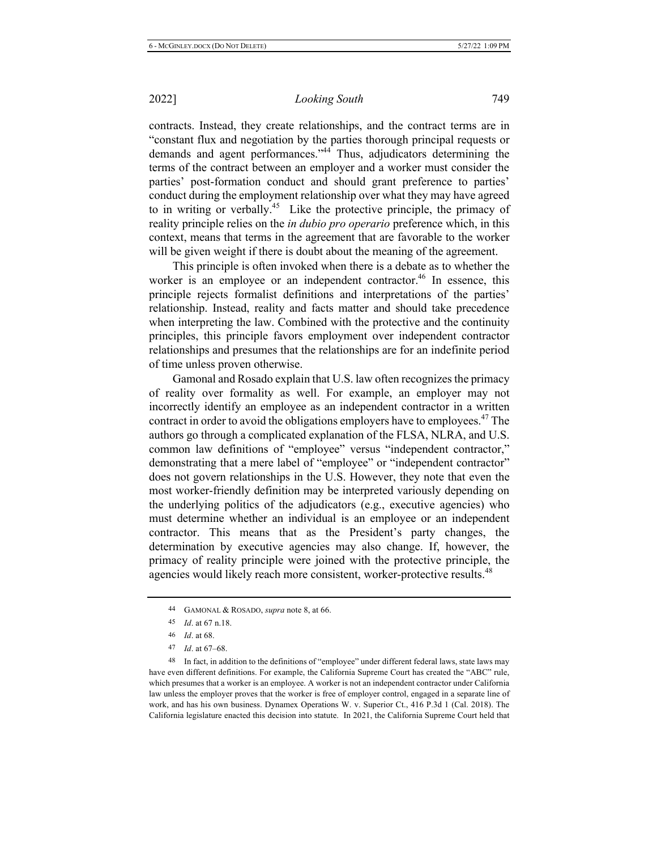contracts. Instead, they create relationships, and the contract terms are in "constant flux and negotiation by the parties thorough principal requests or demands and agent performances. $^{44}$  Thus, adjudicators determining the terms of the contract between an employer and a worker must consider the parties' post-formation conduct and should grant preference to parties' conduct during the employment relationship over what they may have agreed to in writing or verbally.<sup>45</sup> Like the protective principle, the primacy of reality principle relies on the *in dubio pro operario* preference which, in this context, means that terms in the agreement that are favorable to the worker will be given weight if there is doubt about the meaning of the agreement.

This principle is often invoked when there is a debate as to whether the worker is an employee or an independent contractor.<sup>46</sup> In essence, this principle rejects formalist definitions and interpretations of the parties' relationship. Instead, reality and facts matter and should take precedence when interpreting the law. Combined with the protective and the continuity principles, this principle favors employment over independent contractor relationships and presumes that the relationships are for an indefinite period of time unless proven otherwise.

Gamonal and Rosado explain that U.S. law often recognizes the primacy of reality over formality as well. For example, an employer may not incorrectly identify an employee as an independent contractor in a written contract in order to avoid the obligations employers have to employees.<sup>47</sup> The authors go through a complicated explanation of the FLSA, NLRA, and U.S. common law definitions of "employee" versus "independent contractor," demonstrating that a mere label of "employee" or "independent contractor" does not govern relationships in the U.S. However, they note that even the most worker-friendly definition may be interpreted variously depending on the underlying politics of the adjudicators (e.g., executive agencies) who must determine whether an individual is an employee or an independent contractor. This means that as the President's party changes, the determination by executive agencies may also change. If, however, the primacy of reality principle were joined with the protective principle, the agencies would likely reach more consistent, worker-protective results.<sup>48</sup>

48 In fact, in addition to the definitions of "employee" under different federal laws, state laws may have even different definitions. For example, the California Supreme Court has created the "ABC" rule, which presumes that a worker is an employee. A worker is not an independent contractor under California law unless the employer proves that the worker is free of employer control, engaged in a separate line of work, and has his own business. Dynamex Operations W. v. Superior Ct., 416 P.3d 1 (Cal. 2018). The California legislature enacted this decision into statute. In 2021, the California Supreme Court held that

<sup>44</sup> GAMONAL & ROSADO, *supra* note 8, at 66.

<sup>45</sup> *Id.* at 67 n.18.

<sup>46</sup> *Id.* at 68.

<sup>47</sup> *Id.* at 67–68.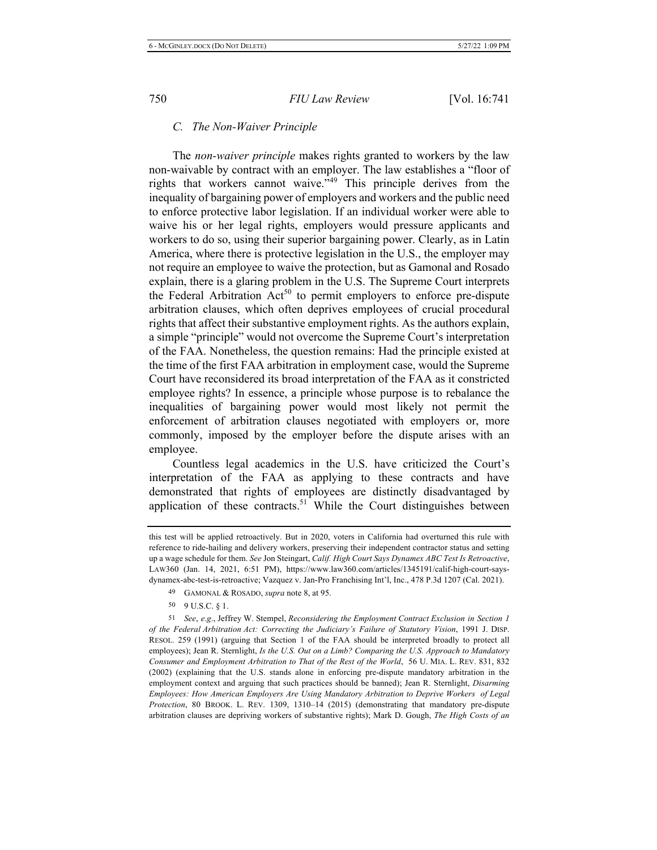#### *C. The Non-Waiver Principle*

The *non-waiver principle* makes rights granted to workers by the law non-waivable by contract with an employer. The law establishes a "floor of rights that workers cannot waive."<sup>49</sup> This principle derives from the inequality of bargaining power of employers and workers and the public need to enforce protective labor legislation. If an individual worker were able to waive his or her legal rights, employers would pressure applicants and workers to do so, using their superior bargaining power. Clearly, as in Latin America, where there is protective legislation in the U.S., the employer may not require an employee to waive the protection, but as Gamonal and Rosado explain, there is a glaring problem in the U.S. The Supreme Court interprets the Federal Arbitration Act<sup>50</sup> to permit employers to enforce pre-dispute arbitration clauses, which often deprives employees of crucial procedural rights that affect their substantive employment rights. As the authors explain, a simple "principle" would not overcome the Supreme Court's interpretation of the FAA. Nonetheless, the question remains: Had the principle existed at the time of the first FAA arbitration in employment case, would the Supreme Court have reconsidered its broad interpretation of the FAA as it constricted employee rights? In essence, a principle whose purpose is to rebalance the inequalities of bargaining power would most likely not permit the enforcement of arbitration clauses negotiated with employers or, more commonly, imposed by the employer before the dispute arises with an employee.

Countless legal academics in the U.S. have criticized the Court's interpretation of the FAA as applying to these contracts and have demonstrated that rights of employees are distinctly disadvantaged by application of these contracts.<sup>51</sup> While the Court distinguishes between

 $50$  9 U.S.C. § 1.

this test will be applied retroactively. But in 2020, voters in California had overturned this rule with reference to ride-hailing and delivery workers, preserving their independent contractor status and setting up a wage schedule for them. See Jon Steingart, Calif. High Court Says Dynamex ABC Test Is Retroactive, LAW360 (Jan. 14, 2021, 6:51 PM), https://www.law360.com/articles/1345191/calif-high-court-saysdynamex-abc-test-is-retroactive; Vazquez v. Jan-Pro Franchising Int'l, Inc., 478 P.3d 1207 (Cal. 2021).

<sup>49</sup> GAMONAL & ROSADO, *supra* note 8, at 95.

<sup>&</sup>lt;sup>51</sup> See, e.g., Jeffrey W. Stempel, *Reconsidering the Employment Contract Exclusion in Section 1* of the Federal Arbitration Act: Correcting the Judiciary's Failure of Statutory Vision, 1991 J. DISP. RESOL. 259 (1991) (arguing that Section 1 of the FAA should be interpreted broadly to protect all employees); Jean R. Sternlight, Is the U.S. Out on a Limb? Comparing the U.S. Approach to Mandatory Consumer and Employment Arbitration to That of the Rest of the World, 56 U. MIA. L. REV. 831, 832 (2002) (explaining that the U.S. stands alone in enforcing pre-dispute mandatory arbitration in the employment context and arguing that such practices should be banned); Jean R. Sternlight, *Disarming Employees: How American Employers Are Using Mandatory Arbitration to Deprive Workers of Legal* Protection, 80 BROOK. L. REV. 1309, 1310-14 (2015) (demonstrating that mandatory pre-dispute arbitration clauses are depriving workers of substantive rights); Mark D. Gough, The High Costs of an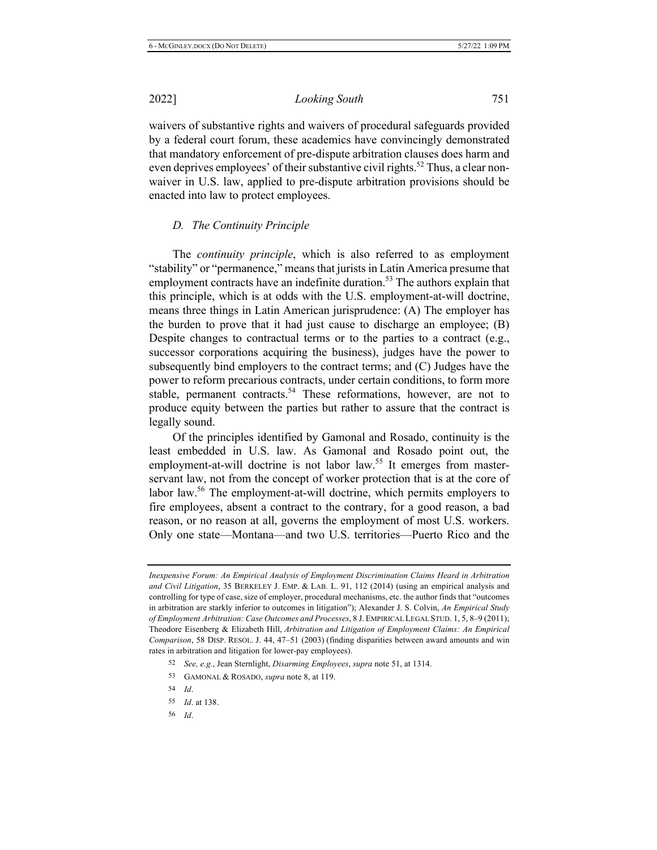*Looking South* 751

waivers of substantive rights and waivers of procedural safeguards provided by a federal court forum, these academics have convincingly demonstrated that mandatory enforcement of pre-dispute arbitration clauses does harm and even deprives employees' of their substantive civil rights.<sup>52</sup> Thus, a clear nonwaiver in U.S. law, applied to pre-dispute arbitration provisions should be enacted into law to protect employees.

### *D.* The Continuity Principle

The *continuity principle*, which is also referred to as employment "stability" or "permanence," means that jurists in Latin America presume that employment contracts have an indefinite duration.<sup>53</sup> The authors explain that this principle, which is at odds with the U.S. employment-at-will doctrine, means three things in Latin American jurisprudence: (A) The employer has the burden to prove that it had just cause to discharge an employee;  $(B)$ Despite changes to contractual terms or to the parties to a contract (e.g., successor corporations acquiring the business), judges have the power to subsequently bind employers to the contract terms; and (C) Judges have the power to reform precarious contracts, under certain conditions, to form more stable, permanent contracts.<sup>54</sup> These reformations, however, are not to produce equity between the parties but rather to assure that the contract is legally sound.

Of the principles identified by Gamonal and Rosado, continuity is the least embedded in U.S. law. As Gamonal and Rosado point out, the employment-at-will doctrine is not labor law.<sup>55</sup> It emerges from masterservant law, not from the concept of worker protection that is at the core of labor law.<sup>56</sup> The employment-at-will doctrine, which permits employers to fire employees, absent a contract to the contrary, for a good reason, a bad reason, or no reason at all, governs the employment of most U.S. workers. Only one state—Montana—and two U.S. territories—Puerto Rico and the

- 53 GAMONAL & ROSADO, *supra* note 8, at 119.
- 54 *Id.*
- 55 *Id.* at 138.
- 56 *Id.*

Inexpensive Forum: An Empirical Analysis of Employment Discrimination Claims Heard in Arbitration and Civil Litigation, 35 BERKELEY J. EMP. & LAB. L. 91, 112 (2014) (using an empirical analysis and controlling for type of case, size of employer, procedural mechanisms, etc. the author finds that "outcomes" in arbitration are starkly inferior to outcomes in litigation"); Alexander J. S. Colvin, An Empirical Study of Employment Arbitration: Case Outcomes and Processes, 8 J. EMPIRICAL LEGAL STUD. 1, 5, 8–9 (2011); Theodore Eisenberg & Elizabeth Hill, Arbitration and Litigation of Employment Claims: An Empirical Comparison, 58 DISP. RESOL. J. 44, 47–51 (2003) (finding disparities between award amounts and win rates in arbitration and litigation for lower-pay employees).

<sup>52</sup> See, e.g., Jean Sternlight, *Disarming Employees*, *supra* note 51, at 1314.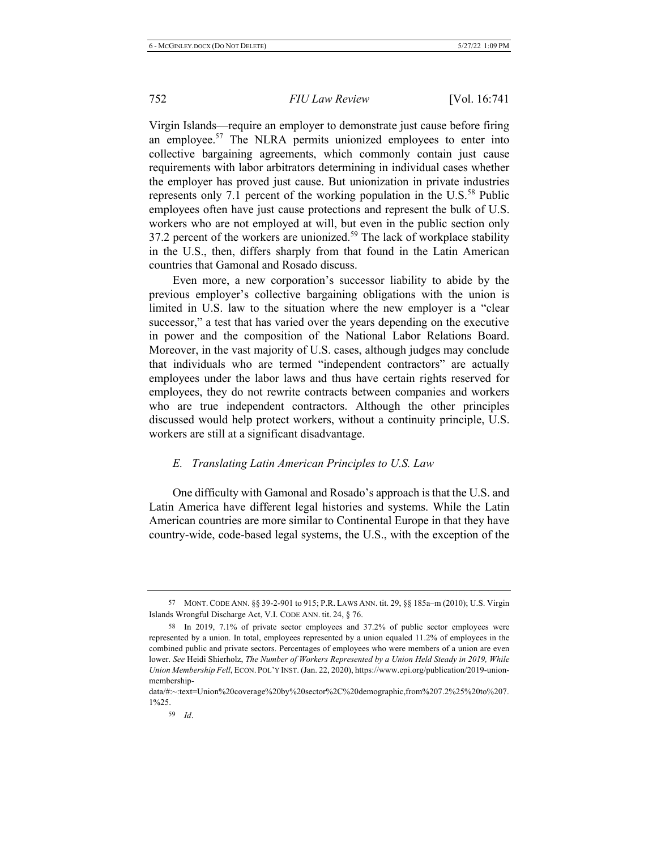Virgin Islands—require an employer to demonstrate just cause before firing an employee.<sup>57</sup> The NLRA permits unionized employees to enter into collective bargaining agreements, which commonly contain just cause requirements with labor arbitrators determining in individual cases whether the employer has proved just cause. But unionization in private industries represents only 7.1 percent of the working population in the  $U.S.^{58}$  Public employees often have just cause protections and represent the bulk of U.S. workers who are not employed at will, but even in the public section only 37.2 percent of the workers are unionized.<sup>59</sup> The lack of workplace stability in the U.S., then, differs sharply from that found in the Latin American countries that Gamonal and Rosado discuss.

Even more, a new corporation's successor liability to abide by the previous employer's collective bargaining obligations with the union is limited in U.S. law to the situation where the new employer is a "clear successor," a test that has varied over the years depending on the executive in power and the composition of the National Labor Relations Board. Moreover, in the vast majority of U.S. cases, although judges may conclude that individuals who are termed "independent contractors" are actually employees under the labor laws and thus have certain rights reserved for employees, they do not rewrite contracts between companies and workers who are true independent contractors. Although the other principles discussed would help protect workers, without a continuity principle, U.S. workers are still at a significant disadvantage.

#### *E. Translating Latin American Principles to U.S. Law*

One difficulty with Gamonal and Rosado's approach is that the U.S. and Latin America have different legal histories and systems. While the Latin American countries are more similar to Continental Europe in that they have country-wide, code-based legal systems, the U.S., with the exception of the

<sup>57</sup> MONT. CODE ANN. §§ 39-2-901 to 915; P.R. LAWS ANN. tit. 29, §§ 185a–m (2010); U.S. Virgin Islands Wrongful Discharge Act, V.I. CODE ANN. tit. 24, § 76.

<sup>58</sup> In 2019, 7.1% of private sector employees and 37.2% of public sector employees were represented by a union. In total, employees represented by a union equaled 11.2% of employees in the combined public and private sectors. Percentages of employees who were members of a union are even lower. See Heidi Shierholz, The Number of Workers Represented by a Union Held Steady in 2019, While Union Membership Fell, ECON. POL'Y INST. (Jan. 22, 2020), https://www.epi.org/publication/2019-unionmembership-

data/#:~:text=Union%20coverage%20by%20sector%2C%20demographic,from%207.2%25%20to%207. 1%25.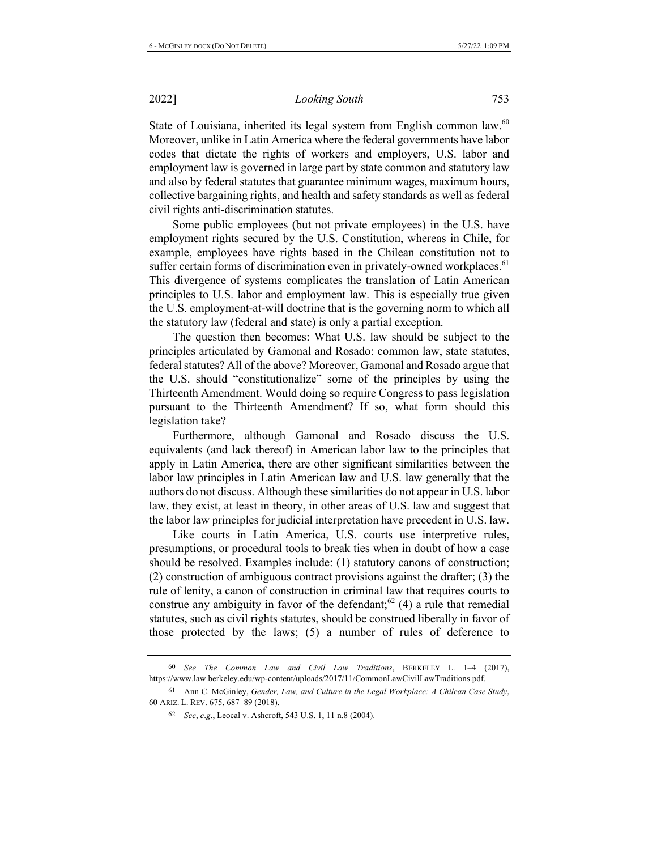State of Louisiana, inherited its legal system from English common law.<sup>60</sup> Moreover, unlike in Latin America where the federal governments have labor codes that dictate the rights of workers and employers, U.S. labor and employment law is governed in large part by state common and statutory law and also by federal statutes that guarantee minimum wages, maximum hours, sollective bargaining rights, and health and safety standards as well as federal civil rights anti-discrimination statutes.

Some public employees (but not private employees) in the U.S. have employment rights secured by the U.S. Constitution, whereas in Chile, for example, employees have rights based in the Chilean constitution not to suffer certain forms of discrimination even in privately-owned workplaces.<sup>61</sup> This divergence of systems complicates the translation of Latin American principles to U.S. labor and employment law. This is especially true given the U.S. employment-at-will doctrine that is the governing norm to which all the statutory law (federal and state) is only a partial exception.

The question then becomes: What U.S. law should be subject to the principles articulated by Gamonal and Rosado: common law, state statutes, federal statutes? All of the above? Moreover, Gamonal and Rosado argue that the U.S. should "constitutionalize" some of the principles by using the Thirteenth Amendment. Would doing so require Congress to pass legislation pursuant to the Thirteenth Amendment? If so, what form should this legislation take?

Furthermore, although Gamonal and Rosado discuss the U.S. equivalents (and lack thereof) in American labor law to the principles that apply in Latin America, there are other significant similarities between the labor law principles in Latin American law and U.S. law generally that the authors do not discuss. Although these similarities do not appear in U.S. labor law, they exist, at least in theory, in other areas of U.S. law and suggest that the labor law principles for judicial interpretation have precedent in U.S. law.

Like courts in Latin America, U.S. courts use interpretive rules, presumptions, or procedural tools to break ties when in doubt of how a case should be resolved. Examples include: (1) statutory canons of construction;  $(2)$  construction of ambiguous contract provisions against the drafter;  $(3)$  the rule of lenity, a canon of construction in criminal law that requires courts to construe any ambiguity in favor of the defendant;  $^{62}$  (4) a rule that remedial statutes, such as civil rights statutes, should be construed liberally in favor of those protected by the laws;  $(5)$  a number of rules of deference to

<sup>60</sup> See The Common Law and Civil Law Traditions, BERKELEY L. 1–4 (2017), https://www.law.berkeley.edu/wp-content/uploads/2017/11/CommonLawCivilLawTraditions.pdf.

<sup>61</sup> Ann C. McGinley, Gender, Law, and Culture in the Legal Workplace: A Chilean Case Study, 60 Ariz. L. Rev. 675, 687-89 (2018).

<sup>62</sup> *See, e.g., Leocal v. Ashcroft, 543 U.S. 1, 11 n.8 (2004).*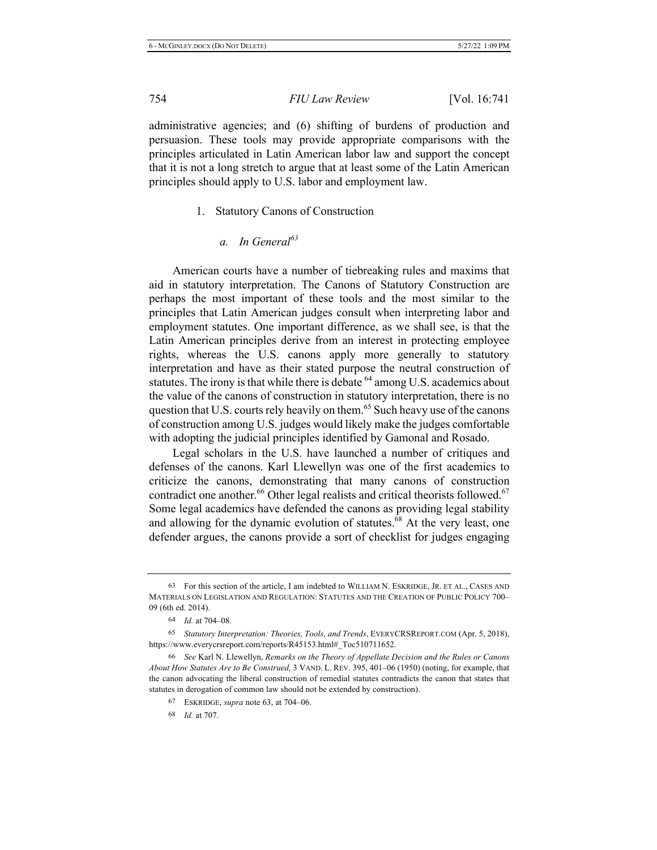administrative agencies; and (6) shifting of burdens of production and persuasion. These tools may provide appropriate comparisons with the principles articulated in Latin American labor law and support the concept that it is not a long stretch to argue that at least some of the Latin American principles should apply to U.S. labor and employment law.

#### 1. Statutory Canons of Construction

### a. In General<sup>63</sup>

American courts have a number of tiebreaking rules and maxims that aid in statutory interpretation. The Canons of Statutory Construction are perhaps the most important of these tools and the most similar to the principles that Latin American judges consult when interpreting labor and employment statutes. One important difference, as we shall see, is that the Latin American principles derive from an interest in protecting employee rights, whereas the U.S. canons apply more generally to statutory interpretation and have as their stated purpose the neutral construction of statutes. The irony is that while there is debate <sup>64</sup> among U.S. academics about the value of the canons of construction in statutory interpretation, there is no question that U.S. courts rely heavily on them.<sup>65</sup> Such heavy use of the canons of construction among U.S. judges would likely make the judges comfortable with adopting the judicial principles identified by Gamonal and Rosado.

Legal scholars in the U.S. have launched a number of critiques and defenses of the canons. Karl Llewellyn was one of the first academics to criticize the canons, demonstrating that many canons of construction contradict one another.<sup>66</sup> Other legal realists and critical theorists followed.<sup>67</sup> Some legal academics have defended the canons as providing legal stability and allowing for the dynamic evolution of statutes. $68$  At the very least, one defender argues, the canons provide a sort of checklist for judges engaging

<sup>63</sup> For this section of the article, I am indebted to WILLIAM N. ESKRIDGE, JR. ET AL., CASES AND MATERIALS ON LEGISLATION AND REGULATION: STATUTES AND THE CREATION OF PUBLIC POLICY 700-09 (6th ed. 2014).

<sup>64</sup> *Id.* at 704–08.

<sup>65</sup> Statutory Interpretation: Theories, Tools, and Trends, EVERYCRSREPORT.COM (Apr. 5, 2018), https://www.everycrsreport.com/reports/R45153.html#\_Toc510711652.

<sup>&</sup>lt;sup>66</sup> See Karl N. Llewellyn, Remarks on the Theory of Appellate Decision and the Rules or Canons About How Statutes Are to Be Construed, 3 VAND. L. REV. 395, 401–06 (1950) (noting, for example, that the canon advocating the liberal construction of remedial statutes contradicts the canon that states that statutes in derogation of common law should not be extended by construction).

<sup>67</sup> ESKRIDGE, *supra* note 63, at 704–06.

<sup>68</sup> *Id.* at 707.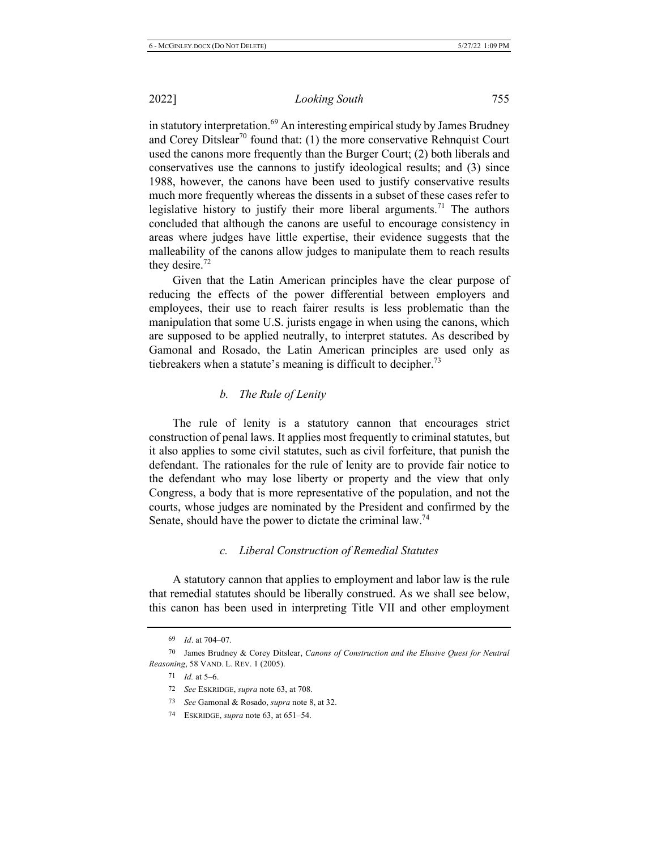*Looking South* 755

in statutory interpretation.<sup>69</sup> An interesting empirical study by James Brudney and Corey Ditslear<sup>70</sup> found that: (1) the more conservative Rehnquist Court used the canons more frequently than the Burger Court;  $(2)$  both liberals and conservatives use the cannons to justify ideological results; and (3) since 1988, however, the canons have been used to justify conservative results much more frequently whereas the dissents in a subset of these cases refer to legislative history to justify their more liberal arguments.<sup>71</sup> The authors concluded that although the canons are useful to encourage consistency in areas where judges have little expertise, their evidence suggests that the malleability of the canons allow judges to manipulate them to reach results they desire. $72$ 

Given that the Latin American principles have the clear purpose of reducing the effects of the power differential between employers and employees, their use to reach fairer results is less problematic than the manipulation that some U.S. jurists engage in when using the canons, which are supposed to be applied neutrally, to interpret statutes. As described by Gamonal and Rosado, the Latin American principles are used only as tiebreakers when a statute's meaning is difficult to decipher.<sup>73</sup>

### *b. The Rule of Lenity*

The rule of lenity is a statutory cannon that encourages strict construction of penal laws. It applies most frequently to criminal statutes, but it also applies to some civil statutes, such as civil forfeiture, that punish the defendant. The rationales for the rule of lenity are to provide fair notice to the defendant who may lose liberty or property and the view that only Congress, a body that is more representative of the population, and not the courts, whose judges are nominated by the President and confirmed by the Senate, should have the power to dictate the criminal law.<sup>74</sup>

### *c.* Liberal Construction of Remedial Statutes

A statutory cannon that applies to employment and labor law is the rule that remedial statutes should be liberally construed. As we shall see below, this canon has been used in interpreting Title VII and other employment

73 *See* Gamonal & Rosado, *supra* note 8, at 32.

<sup>69</sup> *Id.* at 704–07.

<sup>70</sup> James Brudney & Corey Ditslear, Canons of Construction and the Elusive Quest for Neutral Reasoning, 58 VAND. L. REV. 1 (2005).

<sup>71</sup> *Id.* at 5–6.

<sup>72</sup> See ESKRIDGE, supra note 63, at 708.

<sup>74</sup> ESKRIDGE, *supra* note 63, at 651–54.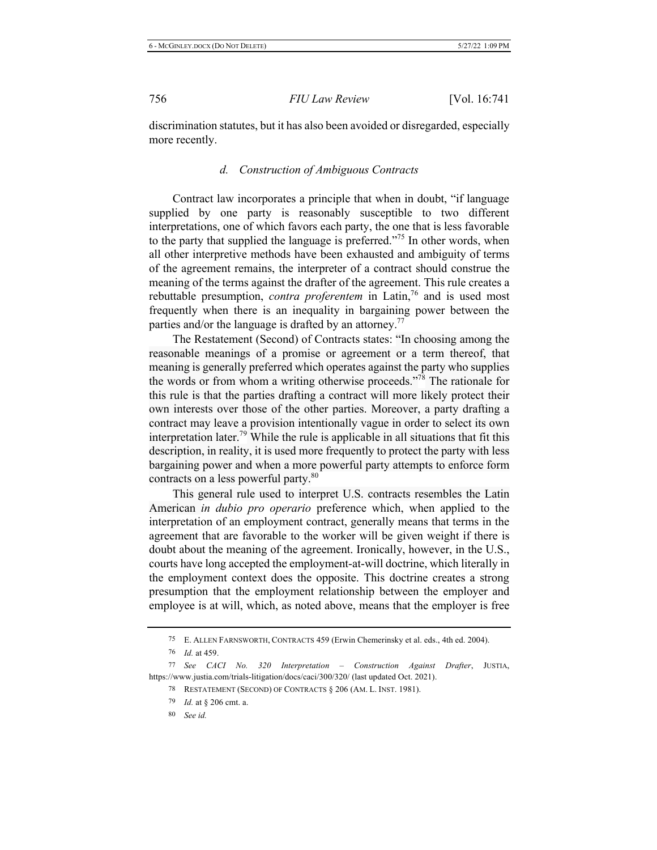discrimination statutes, but it has also been avoided or disregarded, especially more recently.

### *d.* Construction of Ambiguous Contracts

Contract law incorporates a principle that when in doubt, "if language supplied by one party is reasonably susceptible to two different interpretations, one of which favors each party, the one that is less favorable to the party that supplied the language is preferred."<sup>75</sup> In other words, when all other interpretive methods have been exhausted and ambiguity of terms of the agreement remains, the interpreter of a contract should construe the meaning of the terms against the drafter of the agreement. This rule creates a rebuttable presumption, contra proferentem in Latin,<sup>76</sup> and is used most frequently when there is an inequality in bargaining power between the parties and/or the language is drafted by an attorney.<sup>77</sup>

The Restatement (Second) of Contracts states: "In choosing among the reasonable meanings of a promise or agreement or a term thereof, that meaning is generally preferred which operates against the party who supplies the words or from whom a writing otherwise proceeds."<sup>78</sup> The rationale for this rule is that the parties drafting a contract will more likely protect their own interests over those of the other parties. Moreover, a party drafting a contract may leave a provision intentionally vague in order to select its own interpretation later.<sup>79</sup> While the rule is applicable in all situations that fit this description, in reality, it is used more frequently to protect the party with less bargaining power and when a more powerful party attempts to enforce form contracts on a less powerful party. $80$ 

This general rule used to interpret U.S. contracts resembles the Latin American *in dubio pro operario* preference which, when applied to the interpretation of an employment contract, generally means that terms in the agreement that are favorable to the worker will be given weight if there is doubt about the meaning of the agreement. Ironically, however, in the U.S., courts have long accepted the employment-at-will doctrine, which literally in the employment context does the opposite. This doctrine creates a strong presumption that the employment relationship between the employer and employee is at will, which, as noted above, means that the employer is free

<sup>75</sup> E. ALLEN FARNSWORTH, CONTRACTS 459 (Erwin Chemerinsky et al. eds., 4th ed. 2004).

<sup>76</sup> *Id.* at 459.

<sup>77</sup> See CACI No. 320 Interpretation - Construction Against Drafter, JUSTIA, https://www.justia.com/trials-litigation/docs/caci/300/320/ (last updated Oct. 2021).

<sup>78</sup> RESTATEMENT (SECOND) OF CONTRACTS § 206 (AM. L. INST. 1981).

<sup>79</sup> *Id.* at § 206 cmt. a.

<sup>80</sup> See id.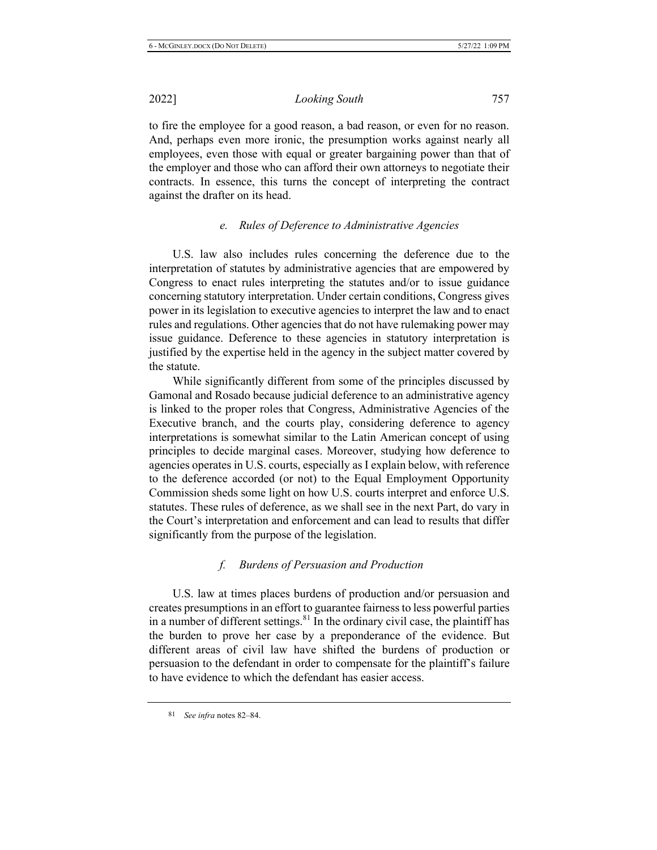to fire the employee for a good reason, a bad reason, or even for no reason. And, perhaps even more ironic, the presumption works against nearly all employees, even those with equal or greater bargaining power than that of the employer and those who can afford their own attorneys to negotiate their contracts. In essence, this turns the concept of interpreting the contract against the drafter on its head.

## $e$ . Rules of Deference to Administrative Agencies

U.S. law also includes rules concerning the deference due to the interpretation of statutes by administrative agencies that are empowered by Congress to enact rules interpreting the statutes and/or to issue guidance concerning statutory interpretation. Under certain conditions, Congress gives power in its legislation to executive agencies to interpret the law and to enact rules and regulations. Other agencies that do not have rulemaking power may issue guidance. Deference to these agencies in statutory interpretation is justified by the expertise held in the agency in the subject matter covered by the statute.

While significantly different from some of the principles discussed by Gamonal and Rosado because judicial deference to an administrative agency is linked to the proper roles that Congress, Administrative Agencies of the Executive branch, and the courts play, considering deference to agency interpretations is somewhat similar to the Latin American concept of using principles to decide marginal cases. Moreover, studying how deference to agencies operates in U.S. courts, especially as I explain below, with reference to the deference accorded (or not) to the Equal Employment Opportunity Commission sheds some light on how U.S. courts interpret and enforce U.S. statutes. These rules of deference, as we shall see in the next Part, do vary in the Court's interpretation and enforcement and can lead to results that differ significantly from the purpose of the legislation.

### *f.* Burdens of Persuasion and Production

U.S. law at times places burdens of production and/or persuasion and creates presumptions in an effort to guarantee fairness to less powerful parties in a number of different settings.  $81$  In the ordinary civil case, the plaintiff has the burden to prove her case by a preponderance of the evidence. But different areas of civil law have shifted the burdens of production or persuasion to the defendant in order to compensate for the plaintiff's failure to have evidence to which the defendant has easier access.

<sup>81</sup> See infra notes 82-84.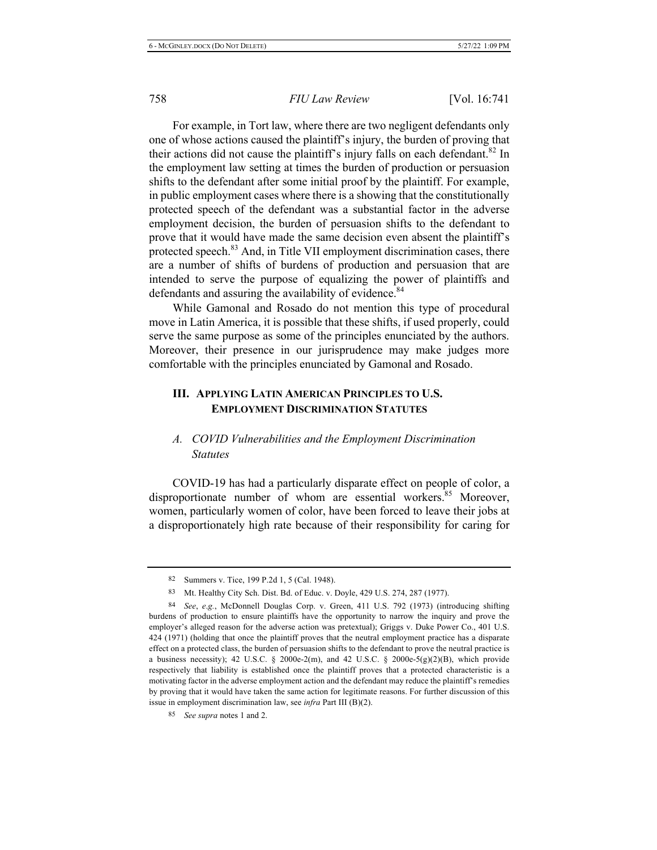For example, in Tort law, where there are two negligent defendants only one of whose actions caused the plaintiff's injury, the burden of proving that their actions did not cause the plaintiff's injury falls on each defendant.<sup>82</sup> In the employment law setting at times the burden of production or persuasion shifts to the defendant after some initial proof by the plaintiff. For example, in public employment cases where there is a showing that the constitutionally protected speech of the defendant was a substantial factor in the adverse employment decision, the burden of persuasion shifts to the defendant to prove that it would have made the same decision even absent the plaintiff's protected speech.<sup>83</sup> And, in Title VII employment discrimination cases, there are a number of shifts of burdens of production and persuasion that are intended to serve the purpose of equalizing the power of plaintiffs and defendants and assuring the availability of evidence.<sup>84</sup>

While Gamonal and Rosado do not mention this type of procedural move in Latin America, it is possible that these shifts, if used properly, could serve the same purpose as some of the principles enunciated by the authors. Moreover, their presence in our jurisprudence may make judges more comfortable with the principles enunciated by Gamonal and Rosado.

## III. APPLYING LATIN AMERICAN PRINCIPLES TO U.S. **EMPLOYMENT DISCRIMINATION STATUTES**

### $A.$  *COVID Vulnerabilities and the Employment Discrimination <u>Statutes</u>*

COVID-19 has had a particularly disparate effect on people of color, a disproportionate number of whom are essential workers.<sup>85</sup> Moreover, women, particularly women of color, have been forced to leave their jobs at a disproportionately high rate because of their responsibility for caring for

<sup>82</sup> Summers v. Tice, 199 P.2d 1, 5 (Cal. 1948).

<sup>83</sup> Mt. Healthy City Sch. Dist. Bd. of Educ. v. Doyle, 429 U.S. 274, 287 (1977).

<sup>84</sup> See, e.g., McDonnell Douglas Corp. v. Green, 411 U.S. 792 (1973) (introducing shifting burdens of production to ensure plaintiffs have the opportunity to narrow the inquiry and prove the employer's alleged reason for the adverse action was pretextual); Griggs v. Duke Power Co., 401 U.S. 424 (1971) (holding that once the plaintiff proves that the neutral employment practice has a disparate effect on a protected class, the burden of persuasion shifts to the defendant to prove the neutral practice is a business necessity); 42 U.S.C. § 2000e-2(m), and 42 U.S.C. § 2000e-5(g)(2)(B), which provide respectively that liability is established once the plaintiff proves that a protected characteristic is a motivating factor in the adverse employment action and the defendant may reduce the plaintiff's remedies by proving that it would have taken the same action for legitimate reasons. For further discussion of this issue in employment discrimination law, see *infra* Part III (B)(2).

<sup>85</sup> See supra notes 1 and 2.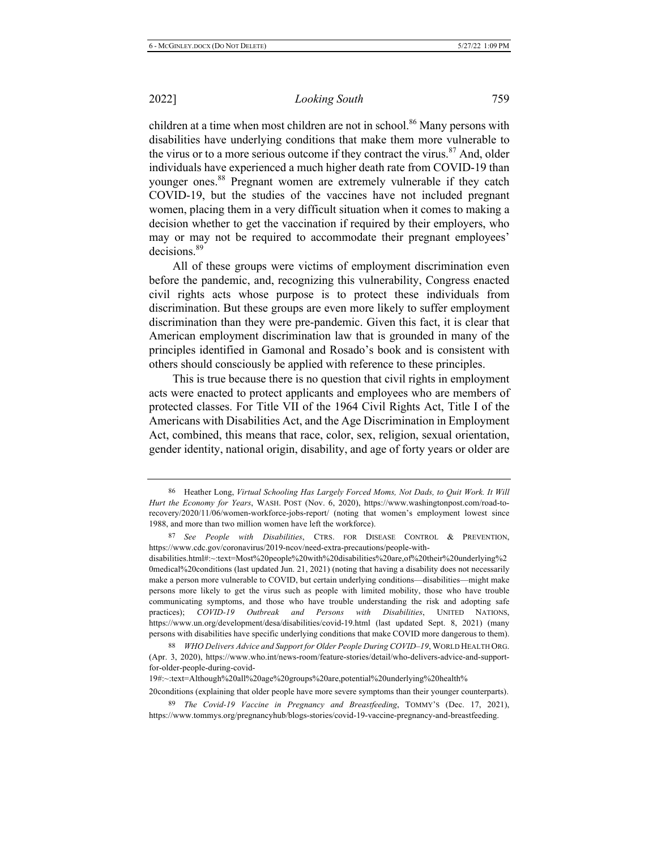*Looking South* 759

children at a time when most children are not in school.<sup>86</sup> Many persons with disabilities have underlying conditions that make them more vulnerable to the virus or to a more serious outcome if they contract the virus.<sup>87</sup> And, older individuals have experienced a much higher death rate from COVID-19 than vounger ones.<sup>88</sup> Pregnant women are extremely vulnerable if they catch COVID-19, but the studies of the vaccines have not included pregnant women, placing them in a very difficult situation when it comes to making a decision whether to get the vaccination if required by their employers, who may or may not be required to accommodate their pregnant employees'  $decisions<sup>89</sup>$ 

All of these groups were victims of employment discrimination even before the pandemic, and, recognizing this vulnerability, Congress enacted civil rights acts whose purpose is to protect these individuals from discrimination. But these groups are even more likely to suffer employment discrimination than they were pre-pandemic. Given this fact, it is clear that American employment discrimination law that is grounded in many of the principles identified in Gamonal and Rosado's book and is consistent with others should consciously be applied with reference to these principles.

This is true because there is no question that civil rights in employment acts were enacted to protect applicants and employees who are members of protected classes. For Title VII of the 1964 Civil Rights Act, Title I of the Americans with Disabilities Act, and the Age Discrimination in Employment Act, combined, this means that race, color, sex, religion, sexual orientation, gender identity, national origin, disability, and age of forty years or older are

20conditions (explaining that older people have more severe symptoms than their younger counterparts).

<sup>86</sup> Heather Long, Virtual Schooling Has Largely Forced Moms, Not Dads, to Quit Work. It Will Hurt the Economy for Years, WASH. POST (Nov. 6, 2020), https://www.washingtonpost.com/road-torecovery/2020/11/06/women-workforce-jobs-report/ (noting that women's employment lowest since 1988, and more than two million women have left the workforce).

<sup>87</sup> See People with Disabilities, CTRS. FOR DISEASE CONTROL & PREVENTION, https://www.cdc.gov/coronavirus/2019-ncov/need-extra-precautions/people-with-

disabilities.html#:~:text=Most%20people%20with%20disabilities%20are,of%20their%20underlying%2 0medical%20conditions (last updated Jun. 21, 2021) (noting that having a disability does not necessarily make a person more vulnerable to COVID, but certain underlying conditions—disabilities—might make persons more likely to get the virus such as people with limited mobility, those who have trouble communicating symptoms, and those who have trouble understanding the risk and adopting safe practices); *COVID-19 Outbreak and Persons with Disabilities*, UNITED NATIONS, https://www.un.org/development/desa/disabilities/covid-19.html (last updated Sept. 8, 2021) (many persons with disabilities have specific underlying conditions that make COVID more dangerous to them).

<sup>88</sup> WHO Delivers Advice and Support for Older People During COVID-19, WORLD HEALTH ORG. (Apr. 3, 2020), https://www.who.int/news-room/feature-stories/detail/who-delivers-advice-and-supportfor-older-people-during-covid-

<sup>19#:~:</sup>text=Although%20all%20age%20groups%20are,potential%20underlying%20health%

<sup>89</sup> The Covid-19 Vaccine in Pregnancy and Breastfeeding, TOMMY'S (Dec. 17, 2021), https://www.tommys.org/pregnancyhub/blogs-stories/covid-19-vaccine-pregnancy-and-breastfeeding.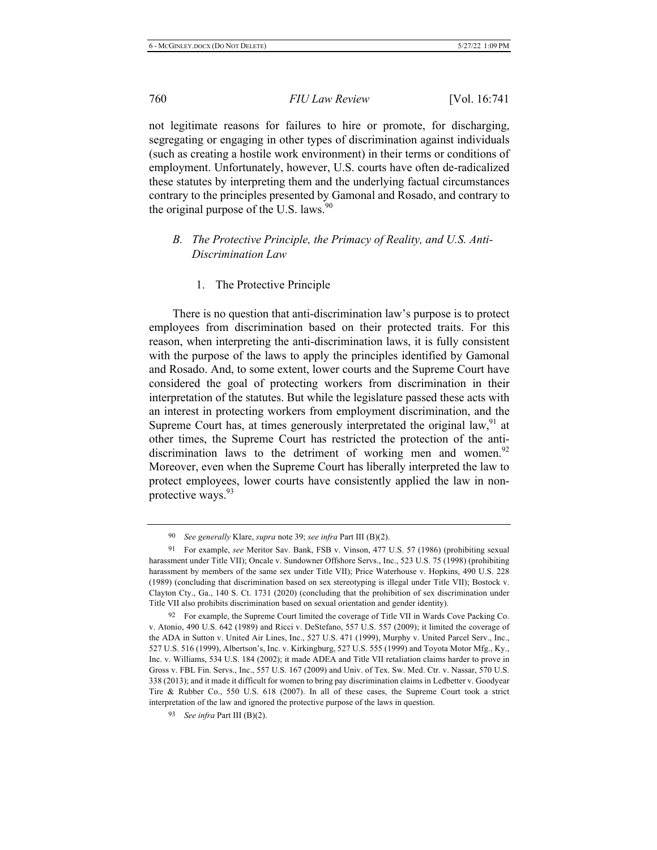not legitimate reasons for failures to hire or promote, for discharging, segregating or engaging in other types of discrimination against individuals (such as creating a hostile work environment) in their terms or conditions of employment. Unfortunately, however, U.S. courts have often de-radicalized these statutes by interpreting them and the underlying factual circumstances contrary to the principles presented by Gamonal and Rosado, and contrary to the original purpose of the U.S. laws.  $90$ 

### *B. The Protective Principle, the Primacy of Reality, and U.S. Anti-* $Discription$ *Law*

1. The Protective Principle

There is no question that anti-discrimination law's purpose is to protect employees from discrimination based on their protected traits. For this reason, when interpreting the anti-discrimination laws, it is fully consistent with the purpose of the laws to apply the principles identified by Gamonal and Rosado. And, to some extent, lower courts and the Supreme Court have considered the goal of protecting workers from discrimination in their interpretation of the statutes. But while the legislature passed these acts with an interest in protecting workers from employment discrimination, and the Supreme Court has, at times generously interpretated the original law,  $91$  at other times, the Supreme Court has restricted the protection of the antidiscrimination laws to the detriment of working men and women.<sup>92</sup> Moreover, even when the Supreme Court has liberally interpreted the law to protect employees, lower courts have consistently applied the law in nonprotective ways.  $93$ 

<sup>90</sup> See generally Klare, *supra* note 39; see infra Part III (B)(2).

<sup>91</sup> For example, see Meritor Sav. Bank, FSB v. Vinson, 477 U.S. 57 (1986) (prohibiting sexual harassment under Title VII); Oncale v. Sundowner Offshore Servs., Inc., 523 U.S. 75 (1998) (prohibiting harassment by members of the same sex under Title VII); Price Waterhouse v. Hopkins, 490 U.S. 228 (1989) (concluding that discrimination based on sex stereotyping is illegal under Title VII); Bostock v. Clayton Cty., Ga., 140 S. Ct. 1731 (2020) (concluding that the prohibition of sex discrimination under Title VII also prohibits discrimination based on sexual orientation and gender identity).

<sup>92</sup> For example, the Supreme Court limited the coverage of Title VII in Wards Cove Packing Co. v. Atonio, 490 U.S. 642 (1989) and Ricci v. DeStefano, 557 U.S. 557 (2009); it limited the coverage of the ADA in Sutton v. United Air Lines, Inc., 527 U.S. 471 (1999), Murphy v. United Parcel Serv., Inc., 527 U.S. 516 (1999), Albertson's, Inc. v. Kirkingburg, 527 U.S. 555 (1999) and Toyota Motor Mfg., Ky., Inc. v. Williams, 534 U.S. 184 (2002); it made ADEA and Title VII retaliation claims harder to prove in Gross v. FBL Fin. Servs., Inc., 557 U.S. 167 (2009) and Univ. of Tex. Sw. Med. Ctr. v. Nassar, 570 U.S. 338 (2013); and it made it difficult for women to bring pay discrimination claims in Ledbetter v. Goodyear Tire & Rubber Co., 550 U.S. 618 (2007). In all of these cases, the Supreme Court took a strict interpretation of the law and ignored the protective purpose of the laws in question.

<sup>&</sup>lt;sup>93</sup> See infra Part III (B)(2).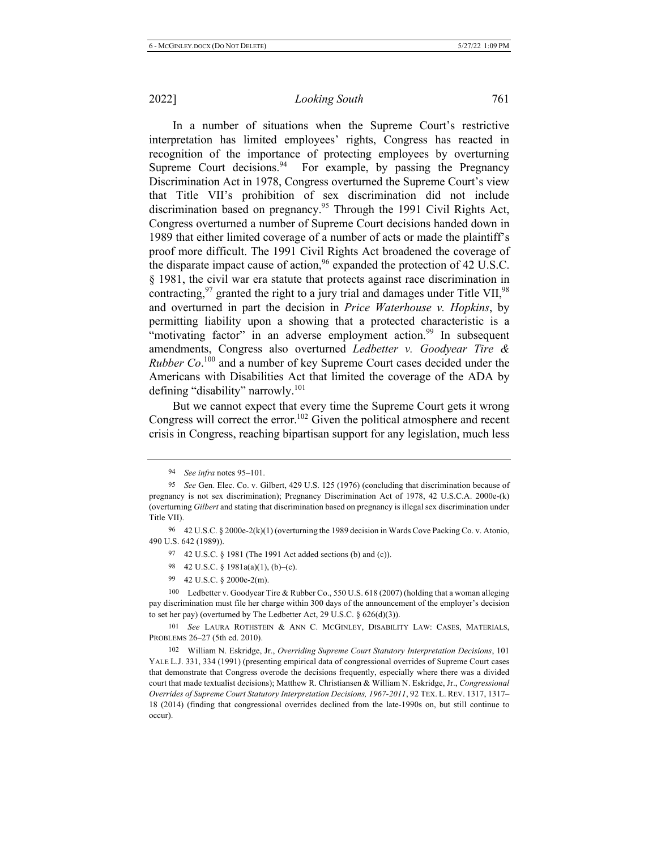In a number of situations when the Supreme Court's restrictive interpretation has limited employees' rights, Congress has reacted in recognition of the importance of protecting employees by overturning Supreme Court decisions.<sup>94</sup> For example, by passing the Pregnancy Discrimination Act in 1978, Congress overturned the Supreme Court's view that Title VII's prohibition of sex discrimination did not include discrimination based on pregnancy.<sup>95</sup> Through the 1991 Civil Rights Act, Congress overturned a number of Supreme Court decisions handed down in 1989 that either limited coverage of a number of acts or made the plaintiff's proof more difficult. The 1991 Civil Rights Act broadened the coverage of the disparate impact cause of action,  $96$  expanded the protection of 42 U.S.C. § 1981, the civil war era statute that protects against race discrimination in contracting,  $97$  granted the right to a jury trial and damages under Title VII,  $98$ and overturned in part the decision in Price Waterhouse v. Hopkins, by permitting liability upon a showing that a protected characteristic is a "motivating factor" in an adverse employment action.<sup>99</sup> In subsequent amendments, Congress also overturned *Ledbetter v. Goodyear Tire & Rubber Co.*<sup>100</sup> and a number of key Supreme Court cases decided under the Americans with Disabilities Act that limited the coverage of the ADA by defining "disability" narrowly.<sup>101</sup>

But we cannot expect that every time the Supreme Court gets it wrong Congress will correct the error.<sup>102</sup> Given the political atmosphere and recent crisis in Congress, reaching bipartisan support for any legislation, much less

- 98 42 U.S.C. § 1981a(a)(1), (b)–(c).
- 99 42 U.S.C.  $\S$  2000e-2(m).

100 Ledbetter v. Goodyear Tire & Rubber Co., 550 U.S. 618 (2007) (holding that a woman alleging pay discrimination must file her charge within 300 days of the announcement of the employer's decision to set her pay) (overturned by The Ledbetter Act, 29 U.S.C.  $\S$  626(d)(3)).

101 See LAURA ROTHSTEIN & ANN C. MCGINLEY, DISABILITY LAW: CASES, MATERIALS, PROBLEMS 26-27 (5th ed. 2010).

102 William N. Eskridge, Jr., Overriding Supreme Court Statutory Interpretation Decisions, 101 YALE L.J. 331, 334 (1991) (presenting empirical data of congressional overrides of Supreme Court cases that demonstrate that Congress overode the decisions frequently, especially where there was a divided court that made textualist decisions); Matthew R. Christiansen & William N. Eskridge, Jr., Congressional Overrides of Supreme Court Statutory Interpretation Decisions, 1967-2011, 92 TEX. L. REV. 1317, 1317-18 (2014) (finding that congressional overrides declined from the late-1990s on, but still continue to occur).

<sup>94</sup> *See infra* notes 95–101.

<sup>95</sup> See Gen. Elec. Co. v. Gilbert, 429 U.S. 125 (1976) (concluding that discrimination because of pregnancy is not sex discrimination); Pregnancy Discrimination Act of 1978, 42 U.S.C.A. 2000e-(k) (overturning Gilbert and stating that discrimination based on pregnancy is illegal sex discrimination under Title VII).

<sup>96 42</sup> U.S.C. § 2000e-2(k)(1) (overturning the 1989 decision in Wards Cove Packing Co. v. Atonio, 490 U.S. 642 (1989)).

<sup>97 42</sup> U.S.C. § 1981 (The 1991 Act added sections (b) and (c)).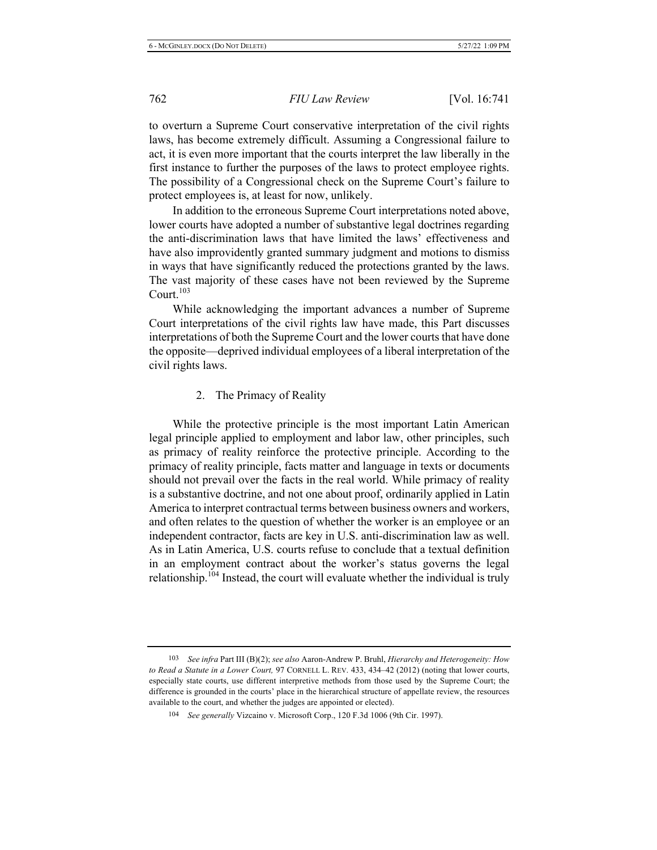to overturn a Supreme Court conservative interpretation of the civil rights laws, has become extremely difficult. Assuming a Congressional failure to act, it is even more important that the courts interpret the law liberally in the first instance to further the purposes of the laws to protect employee rights. The possibility of a Congressional check on the Supreme Court's failure to protect employees is, at least for now, unlikely.

In addition to the erroneous Supreme Court interpretations noted above, lower courts have adopted a number of substantive legal doctrines regarding the anti-discrimination laws that have limited the laws' effectiveness and have also improvidently granted summary judgment and motions to dismiss in ways that have significantly reduced the protections granted by the laws. The vast majority of these cases have not been reviewed by the Supreme Court.<sup>103</sup>

While acknowledging the important advances a number of Supreme Court interpretations of the civil rights law have made, this Part discusses interpretations of both the Supreme Court and the lower courts that have done the opposite—deprived individual employees of a liberal interpretation of the civil rights laws.

#### 2. The Primacy of Reality

While the protective principle is the most important Latin American legal principle applied to employment and labor law, other principles, such as primacy of reality reinforce the protective principle. According to the primacy of reality principle, facts matter and language in texts or documents should not prevail over the facts in the real world. While primacy of reality is a substantive doctrine, and not one about proof, ordinarily applied in Latin America to interpret contractual terms between business owners and workers, and often relates to the question of whether the worker is an employee or an independent contractor, facts are key in U.S. anti-discrimination law as well. As in Latin America, U.S. courts refuse to conclude that a textual definition in an employment contract about the worker's status governs the legal relationship.<sup>104</sup> Instead, the court will evaluate whether the individual is truly

<sup>103</sup> See infra Part III (B)(2); see also Aaron-Andrew P. Bruhl, *Hierarchy and Heterogeneity: How* to Read a Statute in a Lower Court, 97 CORNELL L. REV. 433, 434–42 (2012) (noting that lower courts, especially state courts, use different interpretive methods from those used by the Supreme Court; the difference is grounded in the courts' place in the hierarchical structure of appellate review, the resources available to the court, and whether the judges are appointed or elected).

<sup>104</sup> See generally Vizcaino v. Microsoft Corp., 120 F.3d 1006 (9th Cir. 1997).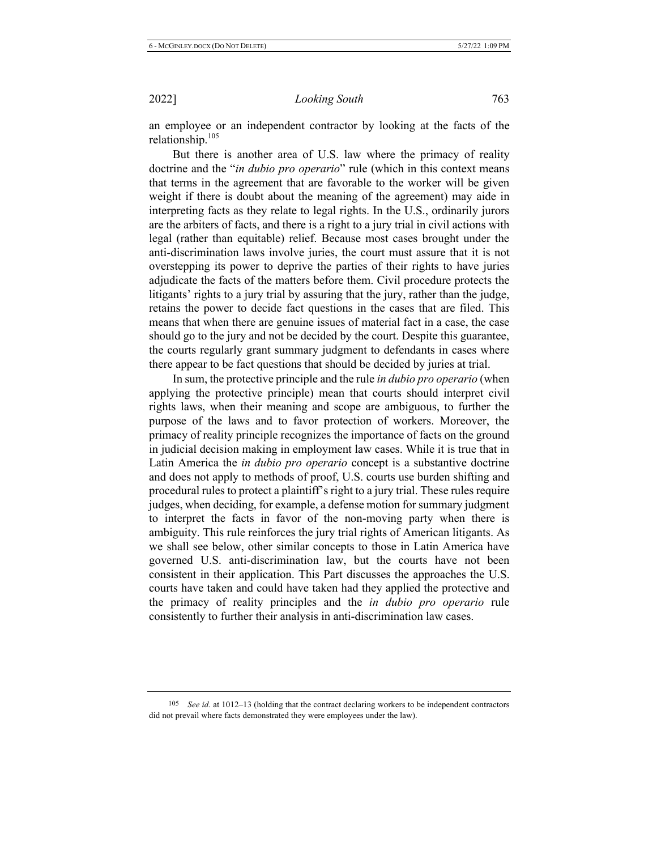an employee or an independent contractor by looking at the facts of the relationship.<sup>105</sup>

But there is another area of U.S. law where the primacy of reality doctrine and the "*in dubio pro operario*" rule (which in this context means that terms in the agreement that are favorable to the worker will be given weight if there is doubt about the meaning of the agreement) may aide in interpreting facts as they relate to legal rights. In the U.S., ordinarily jurors are the arbiters of facts, and there is a right to a jury trial in civil actions with legal (rather than equitable) relief. Because most cases brought under the anti-discrimination laws involve juries, the court must assure that it is not overstepping its power to deprive the parties of their rights to have juries adjudicate the facts of the matters before them. Civil procedure protects the litigants' rights to a jury trial by assuring that the jury, rather than the judge, retains the power to decide fact questions in the cases that are filed. This means that when there are genuine issues of material fact in a case, the case should go to the jury and not be decided by the court. Despite this guarantee, the courts regularly grant summary judgment to defendants in cases where there appear to be fact questions that should be decided by juries at trial.

In sum, the protective principle and the rule *in dubio pro operario* (when applying the protective principle) mean that courts should interpret civil rights laws, when their meaning and scope are ambiguous, to further the purpose of the laws and to favor protection of workers. Moreover, the primacy of reality principle recognizes the importance of facts on the ground in judicial decision making in employment law cases. While it is true that in Latin America the *in dubio pro operario* concept is a substantive doctrine and does not apply to methods of proof, U.S. courts use burden shifting and procedural rules to protect a plaintiff's right to a jury trial. These rules require judges, when deciding, for example, a defense motion for summary judgment to interpret the facts in favor of the non-moving party when there is ambiguity. This rule reinforces the jury trial rights of American litigants. As we shall see below, other similar concepts to those in Latin America have governed U.S. anti-discrimination law, but the courts have not been consistent in their application. This Part discusses the approaches the U.S. courts have taken and could have taken had they applied the protective and the primacy of reality principles and the *in dubio pro operario* rule consistently to further their analysis in anti-discrimination law cases.

<sup>105</sup> See id. at 1012–13 (holding that the contract declaring workers to be independent contractors did not prevail where facts demonstrated they were employees under the law).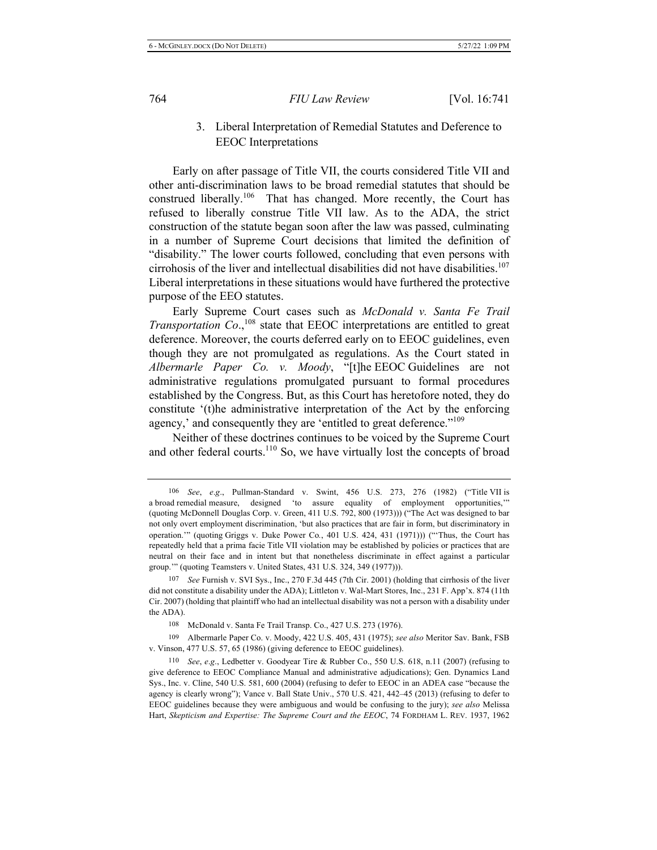3. Liberal Interpretation of Remedial Statutes and Deference to EEOC Interpretations

Early on after passage of Title VII, the courts considered Title VII and other anti-discrimination laws to be broad remedial statutes that should be construed liberally.<sup>106</sup> That has changed. More recently, the Court has refused to liberally construe Title VII law. As to the ADA, the strict construction of the statute began soon after the law was passed, culminating in a number of Supreme Court decisions that limited the definition of "disability." The lower courts followed, concluding that even persons with cirrohosis of the liver and intellectual disabilities did not have disabilities.<sup>107</sup> Liberal interpretations in these situations would have furthered the protective purpose of the EEO statutes.

Early Supreme Court cases such as McDonald v. Santa Fe Trail *Transportation Co.*,<sup>108</sup> state that EEOC interpretations are entitled to great deference. Moreover, the courts deferred early on to EEOC guidelines, even though they are not promulgated as regulations. As the Court stated in Albermarle Paper Co. v. Moody, "[t]he EEOC Guidelines are not administrative regulations promulgated pursuant to formal procedures established by the Congress. But, as this Court has heretofore noted, they do constitute '(t)he administrative interpretation of the Act by the enforcing agency,' and consequently they are 'entitled to great deference."<sup>109</sup>

Neither of these doctrines continues to be voiced by the Supreme Court and other federal courts.<sup>110</sup> So, we have virtually lost the concepts of broad

<sup>106</sup> See, e.g., Pullman-Standard v. Swint, 456 U.S. 273, 276 (1982) ("Title VII is a broad remedial measure, designed 'to assure equality of employment opportunities,'" (quoting McDonnell Douglas Corp. v. Green,  $411$  U.S. 792,  $800$  (1973))) ("The Act was designed to bar not only overt employment discrimination, 'but also practices that are fair in form, but discriminatory in operation."" (quoting Griggs v. Duke Power Co.,  $401$  U.S.  $424$ ,  $431$   $(1971)$ )) ("Thus, the Court has repeatedly held that a prima facie Title VII violation may be established by policies or practices that are neutral on their face and in intent but that nonetheless discriminate in effect against a particular group."" (quoting Teamsters v. United States, 431 U.S. 324, 349 (1977))).

<sup>107</sup> 7 See Furnish v. SVI Sys., Inc., 270 F.3d 445 (7th Cir. 2001) (holding that cirrhosis of the liver did not constitute a disability under the ADA); Littleton v. Wal-Mart Stores, Inc., 231 F. App'x. 874 (11th Cir. 2007) (holding that plaintiff who had an intellectual disability was not a person with a disability under the ADA).

<sup>108</sup> McDonald v. Santa Fe Trail Transp. Co., 427 U.S. 273 (1976).

<sup>109</sup> Albermarle Paper Co. v. Moody, 422 U.S. 405, 431 (1975); see also Meritor Sav. Bank, FSB v. Vinson, 477 U.S. 57, 65 (1986) (giving deference to EEOC guidelines).

<sup>110</sup> See, e.g., Ledbetter v. Goodyear Tire & Rubber Co., 550 U.S. 618, n.11 (2007) (refusing to give deference to EEOC Compliance Manual and administrative adjudications); Gen. Dynamics Land Sys., Inc. v. Cline, 540 U.S. 581, 600 (2004) (refusing to defer to EEOC in an ADEA case "because the agency is clearly wrong"); Vance v. Ball State Univ.,  $570$  U.S.  $421$ ,  $442-45$  (2013) (refusing to defer to EEOC guidelines because they were ambiguous and would be confusing to the jury); see also Melissa Hart, Skepticism and Expertise: The Supreme Court and the EEOC, 74 FORDHAM L. REV. 1937, 1962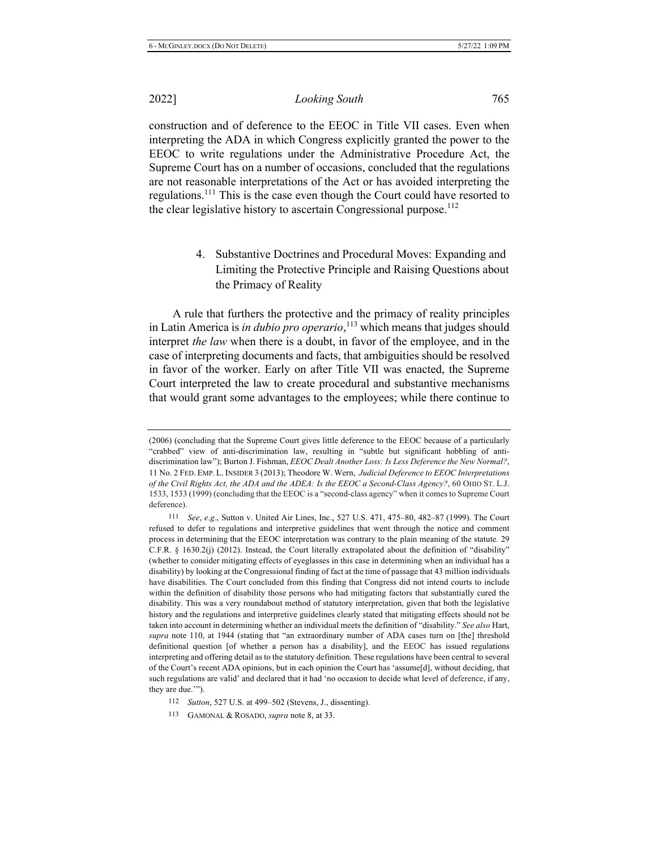*Looking South* 765

construction and of deference to the EEOC in Title VII cases. Even when interpreting the ADA in which Congress explicitly granted the power to the EEOC to write regulations under the Administrative Procedure Act, the Supreme Court has on a number of occasions, concluded that the regulations are not reasonable interpretations of the Act or has avoided interpreting the regulations.<sup>111</sup> This is the case even though the Court could have resorted to the clear legislative history to ascertain Congressional purpose.<sup>112</sup>

> 4. Substantive Doctrines and Procedural Moves: Expanding and Limiting the Protective Principle and Raising Questions about the Primacy of Reality

A rule that furthers the protective and the primacy of reality principles in Latin America is *in dubio pro operario*,<sup>113</sup> which means that judges should interpret the law when there is a doubt, in favor of the employee, and in the case of interpreting documents and facts, that ambiguities should be resolved in favor of the worker. Early on after Title VII was enacted, the Supreme Court interpreted the law to create procedural and substantive mechanisms that would grant some advantages to the employees; while there continue to

113 GAMONAL & ROSADO, *supra* note 8, at 33.

<sup>(2006) (</sup>concluding that the Supreme Court gives little deference to the EEOC because of a particularly "crabbed" view of anti-discrimination law, resulting in "subtle but significant hobbling of antidiscrimination law"); Burton J. Fishman, *EEOC Dealt Another Loss: Is Less Deference the New Normal?*, 11 No. 2 FED. EMP. L. INSIDER 3 (2013); Theodore W. Wern, *Judicial Deference to EEOC Interpretations* of the Civil Rights Act, the ADA and the ADEA: Is the EEOC a Second-Class Agency?, 60 OHIO ST. L.J. 1533, 1533 (1999) (concluding that the EEOC is a "second-class agency" when it comes to Supreme Court deference).

<sup>111</sup> See, e.g., Sutton v. United Air Lines, Inc., 527 U.S. 471, 475–80, 482–87 (1999). The Court refused to defer to regulations and interpretive guidelines that went through the notice and comment process in determining that the EEOC interpretation was contrary to the plain meaning of the statute. 29  $C.F.R. § 1630.2(j)$  (2012). Instead, the Court literally extrapolated about the definition of "disability" (whether to consider mitigating effects of eyeglasses in this case in determining when an individual has a disability) by looking at the Congressional finding of fact at the time of passage that 43 million individuals have disabilities. The Court concluded from this finding that Congress did not intend courts to include within the definition of disability those persons who had mitigating factors that substantially cured the disability. This was a very roundabout method of statutory interpretation, given that both the legislative history and the regulations and interpretive guidelines clearly stated that mitigating effects should not be taken into account in determining whether an individual meets the definition of "disability." See also Hart, supra note 110, at 1944 (stating that "an extraordinary number of ADA cases turn on [the] threshold definitional question [of whether a person has a disability], and the EEOC has issued regulations interpreting and offering detail as to the statutory definition. These regulations have been central to several of the Court's recent ADA opinions, but in each opinion the Court has 'assume[d], without deciding, that such regulations are valid' and declared that it had 'no occasion to decide what level of deference, if any, they are due."").

<sup>112</sup> *Sutton*, 527 U.S. at 499–502 (Stevens, J., dissenting).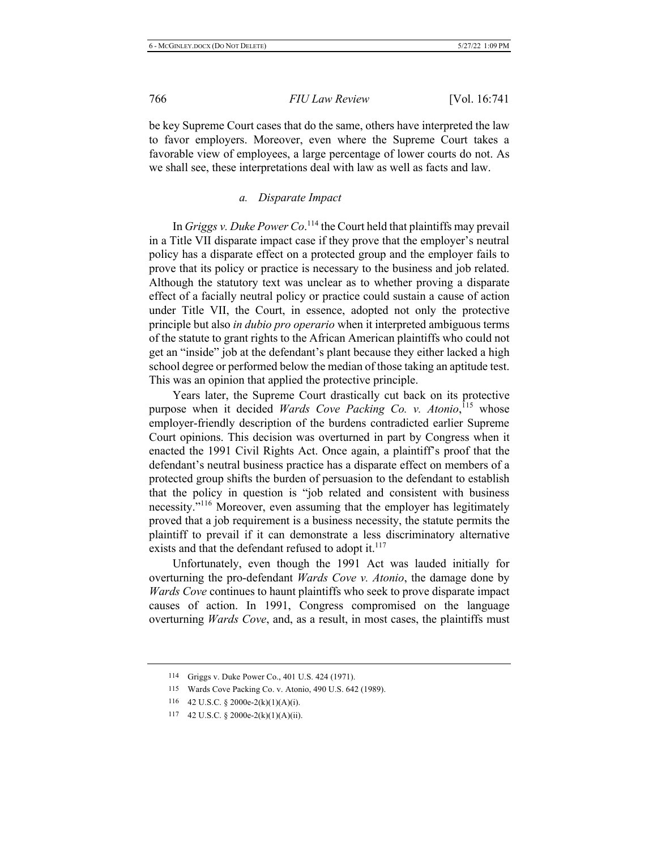be key Supreme Court cases that do the same, others have interpreted the law to favor employers. Moreover, even where the Supreme Court takes a favorable view of employees, a large percentage of lower courts do not. As we shall see, these interpretations deal with law as well as facts and law.

#### a. Disparate Impact

In *Griggs v. Duke Power Co.*<sup>114</sup> the Court held that plaintiffs may prevail in a Title VII disparate impact case if they prove that the employer's neutral policy has a disparate effect on a protected group and the employer fails to prove that its policy or practice is necessary to the business and job related. Although the statutory text was unclear as to whether proving a disparate effect of a facially neutral policy or practice could sustain a cause of action under Title VII, the Court, in essence, adopted not only the protective principle but also *in dubio pro operario* when it interpreted ambiguous terms of the statute to grant rights to the African American plaintiffs who could not get an "inside" job at the defendant's plant because they either lacked a high school degree or performed below the median of those taking an aptitude test. This was an opinion that applied the protective principle.

Years later, the Supreme Court drastically cut back on its protective purpose when it decided *Wards Cove Packing Co. v. Atonio*,<sup>115</sup> whose employer-friendly description of the burdens contradicted earlier Supreme Court opinions. This decision was overturned in part by Congress when it enacted the 1991 Civil Rights Act. Once again, a plaintiff's proof that the defendant's neutral business practice has a disparate effect on members of a protected group shifts the burden of persuasion to the defendant to establish that the policy in question is "job related and consistent with business necessity."<sup>116</sup> Moreover, even assuming that the employer has legitimately proved that a job requirement is a business necessity, the statute permits the plaintiff to prevail if it can demonstrate a less discriminatory alternative exists and that the defendant refused to adopt it.<sup>117</sup>

Unfortunately, even though the 1991 Act was lauded initially for overturning the pro-defendant Wards Cove v. Atonio, the damage done by *Wards Cove* continues to haunt plaintiffs who seek to prove disparate impact causes of action. In 1991, Congress compromised on the language overturning *Wards Cove*, and, as a result, in most cases, the plaintiffs must

<sup>114</sup> Griggs v. Duke Power Co., 401 U.S. 424 (1971).

<sup>115</sup> Wards Cove Packing Co. v. Atonio, 490 U.S. 642 (1989).

<sup>116 42</sup> U.S.C. § 2000e-2(k)(1)(A)(i).

<sup>117 42</sup> U.S.C. § 2000e-2(k)(1)(A)(ii).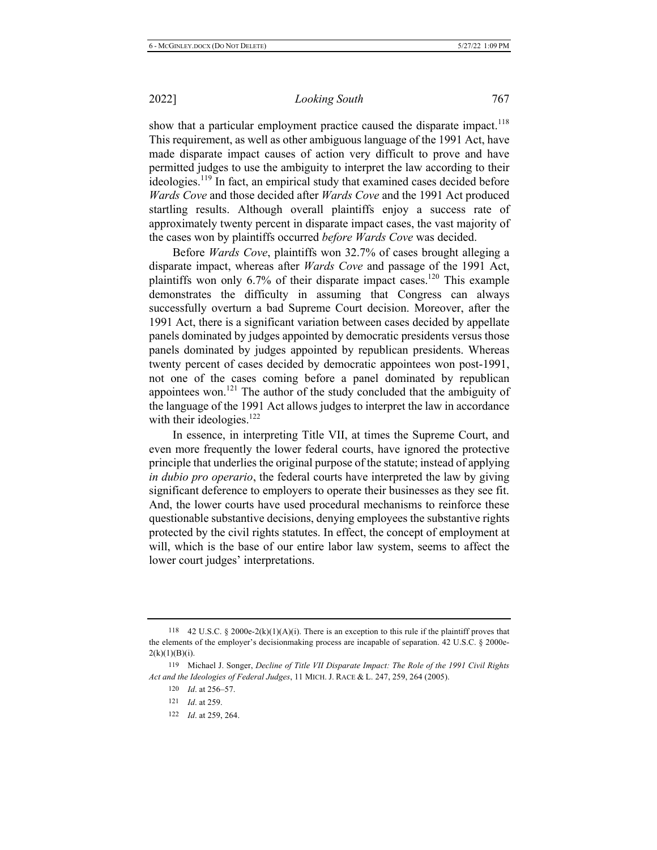show that a particular employment practice caused the disparate impact.<sup>118</sup> This requirement, as well as other ambiguous language of the 1991 Act, have made disparate impact causes of action very difficult to prove and have permitted judges to use the ambiguity to interpret the law according to their ideologies.<sup>119</sup> In fact, an empirical study that examined cases decided before *Wards Cove* and those decided after *Wards Cove* and the 1991 Act produced startling results. Although overall plaintiffs enjoy a success rate of approximately twenty percent in disparate impact cases, the vast majority of the cases won by plaintiffs occurred before Wards Cove was decided.

Before Wards Cove, plaintiffs won 32.7% of cases brought alleging a disparate impact, whereas after *Wards Cove* and passage of the 1991 Act, plaintiffs won only 6.7% of their disparate impact cases.<sup>120</sup> This example demonstrates the difficulty in assuming that Congress can always successfully overturn a bad Supreme Court decision. Moreover, after the 1991 Act, there is a significant variation between cases decided by appellate panels dominated by judges appointed by democratic presidents versus those panels dominated by judges appointed by republican presidents. Whereas twenty percent of cases decided by democratic appointees won post-1991, not one of the cases coming before a panel dominated by republican appointees won.<sup>121</sup> The author of the study concluded that the ambiguity of the language of the 1991 Act allows judges to interpret the law in accordance with their ideologies. $122$ 

In essence, in interpreting Title VII, at times the Supreme Court, and even more frequently the lower federal courts, have ignored the protective principle that underlies the original purpose of the statute; instead of applying *in dubio pro operario*, the federal courts have interpreted the law by giving significant deference to employers to operate their businesses as they see fit. And, the lower courts have used procedural mechanisms to reinforce these questionable substantive decisions, denying employees the substantive rights protected by the civil rights statutes. In effect, the concept of employment at will, which is the base of our entire labor law system, seems to affect the lower court judges' interpretations.

122 *Id.* at 259, 264.

<sup>118 42</sup> U.S.C. § 2000e-2(k)(1)(A)(i). There is an exception to this rule if the plaintiff proves that the elements of the employer's decision making process are incapable of separation.  $42 \text{ U.S.C. }$  § 2000e- $2(k)(1)(B)(i).$ 

<sup>119</sup> Michael J. Songer, *Decline of Title VII Disparate Impact: The Role of the 1991 Civil Rights* Act and the Ideologies of Federal Judges, 11 MICH. J. RACE & L. 247, 259, 264 (2005).

 $120$  *Id.* at  $256 - 57$ .

<sup>121</sup> *Id.* at 259.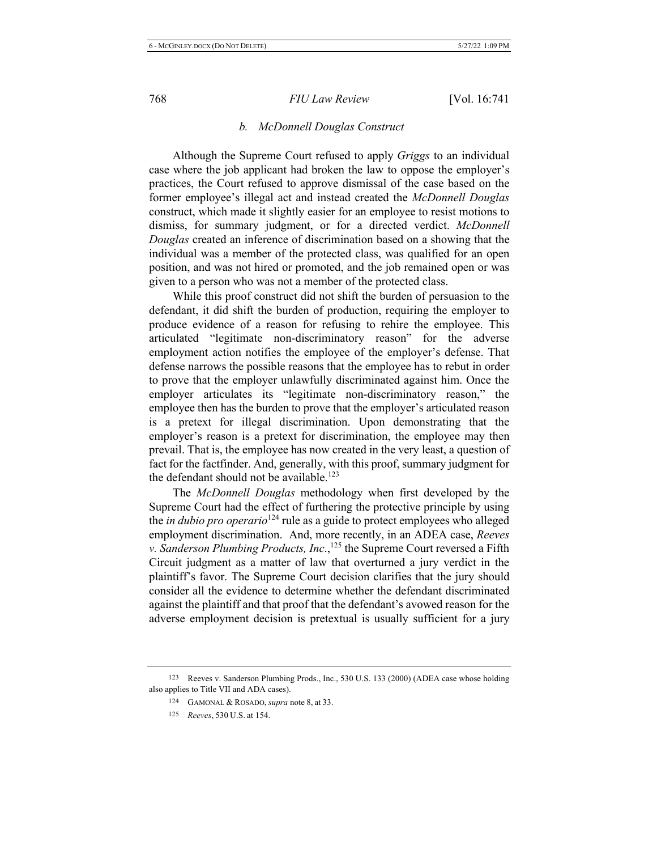### *b. McDonnell Douglas Construct*

Although the Supreme Court refused to apply *Griggs* to an individual case where the job applicant had broken the law to oppose the employer's practices, the Court refused to approve dismissal of the case based on the former employee's illegal act and instead created the McDonnell Douglas construct, which made it slightly easier for an employee to resist motions to dismiss, for summary judgment, or for a directed verdict. McDonnell *Douglas* created an inference of discrimination based on a showing that the individual was a member of the protected class, was qualified for an open position, and was not hired or promoted, and the job remained open or was given to a person who was not a member of the protected class.

While this proof construct did not shift the burden of persuasion to the defendant, it did shift the burden of production, requiring the employer to produce evidence of a reason for refusing to rehire the employee. This articulated "legitimate non-discriminatory reason" for the adverse employment action notifies the employee of the employer's defense. That defense narrows the possible reasons that the employee has to rebut in order to prove that the employer unlawfully discriminated against him. Once the employer articulates its "legitimate non-discriminatory reason," the employee then has the burden to prove that the employer's articulated reason is a pretext for illegal discrimination. Upon demonstrating that the employer's reason is a pretext for discrimination, the employee may then prevail. That is, the employee has now created in the very least, a question of fact for the factfinder. And, generally, with this proof, summary judgment for the defendant should not be available.<sup>123</sup>

The McDonnell Douglas methodology when first developed by the Supreme Court had the effect of furthering the protective principle by using the *in dubio pro operario*<sup>124</sup> rule as a guide to protect employees who alleged employment discrimination. And, more recently, in an ADEA case, Reeves v. Sanderson Plumbing Products, Inc.,<sup>125</sup> the Supreme Court reversed a Fifth Circuit judgment as a matter of law that overturned a jury verdict in the plaintiff's favor. The Supreme Court decision clarifies that the jury should consider all the evidence to determine whether the defendant discriminated against the plaintiff and that proof that the defendant's avowed reason for the adverse employment decision is pretextual is usually sufficient for a jury

<sup>123</sup> Reeves v. Sanderson Plumbing Prods., Inc., 530 U.S. 133 (2000) (ADEA case whose holding also applies to Title VII and ADA cases).

<sup>124</sup> GAMONAL & ROSADO, *supra* note 8, at 33.

<sup>125</sup> Reeves, 530 U.S. at 154.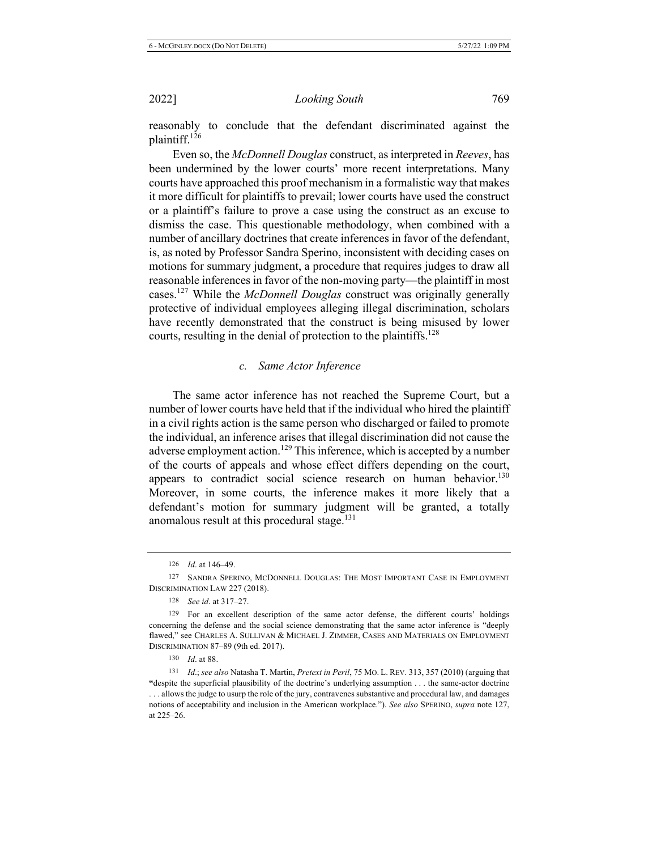reasonably to conclude that the defendant discriminated against the plaintiff.<sup>126</sup>

Even so, the McDonnell Douglas construct, as interpreted in Reeves, has been undermined by the lower courts' more recent interpretations. Many courts have approached this proof mechanism in a formalistic way that makes it more difficult for plaintiffs to prevail; lower courts have used the construct or a plaintiff's failure to prove a case using the construct as an excuse to dismiss the case. This questionable methodology, when combined with a number of ancillary doctrines that create inferences in favor of the defendant, is, as noted by Professor Sandra Sperino, inconsistent with deciding cases on motions for summary judgment, a procedure that requires judges to draw all reasonable inferences in favor of the non-moving party—the plaintiff in most cases.<sup>127</sup> While the *McDonnell Douglas* construct was originally generally protective of individual employees alleging illegal discrimination, scholars have recently demonstrated that the construct is being misused by lower courts, resulting in the denial of protection to the plaintiffs.<sup>128</sup>

#### c. Same Actor Inference

The same actor inference has not reached the Supreme Court, but a number of lower courts have held that if the individual who hired the plaintiff in a civil rights action is the same person who discharged or failed to promote the individual, an inference arises that illegal discrimination did not cause the adverse employment action.<sup>129</sup> This inference, which is accepted by a number of the courts of appeals and whose effect differs depending on the court, appears to contradict social science research on human behavior.<sup>130</sup> Moreover, in some courts, the inference makes it more likely that a defendant's motion for summary judgment will be granted, a totally anomalous result at this procedural stage.<sup>131</sup>

<sup>126</sup> *Id.* at 146–49.

<sup>127</sup> SANDRA SPERINO, MCDONNELL DOUGLAS: THE MOST IMPORTANT CASE IN EMPLOYMENT DISCRIMINATION LAW 227 (2018).

<sup>128</sup> *See id.* at 317–27.

<sup>129</sup> For an excellent description of the same actor defense, the different courts' holdings concerning the defense and the social science demonstrating that the same actor inference is "deeply" flawed," see CHARLES A. SULLIVAN & MICHAEL J. ZIMMER, CASES AND MATERIALS ON EMPLOYMENT DISCRIMINATION 87-89 (9th ed. 2017).

<sup>130</sup> *Id.* at 88.

<sup>131</sup> *Id.*; see also Natasha T. Martin, Pretext in Peril, 75 MO. L. REV. 313, 357 (2010) (arguing that "despite the superficial plausibility of the doctrine's underlying assumption . . . the same-actor doctrine  $\ldots$  allows the judge to usurp the role of the jury, contravenes substantive and procedural law, and damages notions of acceptability and inclusion in the American workplace."). See also SPERINO, supra note 127, at 225–26.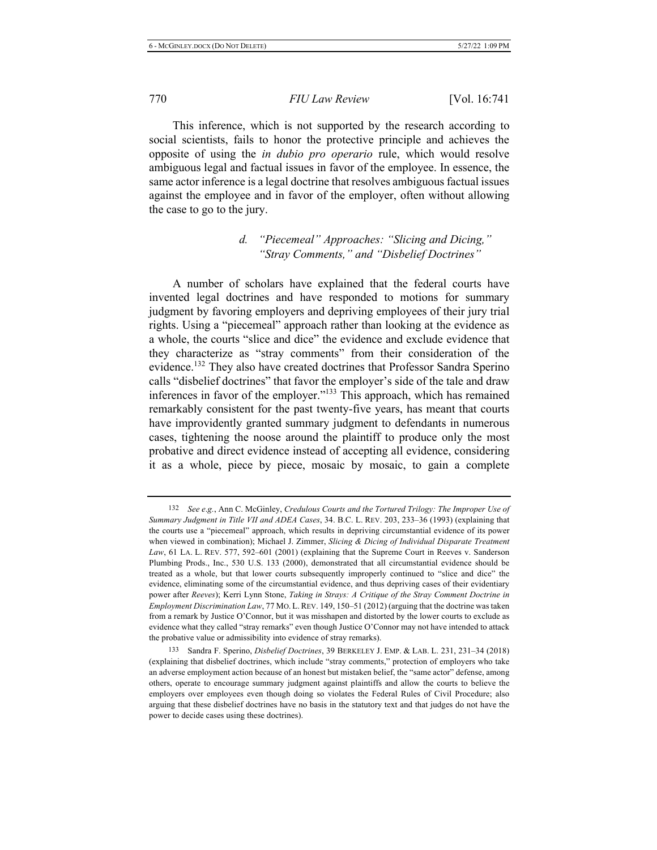This inference, which is not supported by the research according to social scientists, fails to honor the protective principle and achieves the opposite of using the *in dubio pro operario* rule, which would resolve ambiguous legal and factual issues in favor of the employee. In essence, the same actor inference is a legal doctrine that resolves ambiguous factual issues against the employee and in favor of the employer, often without allowing the case to go to the jury.

### *d.* "Piecemeal" Approaches: "Slicing and Dicing," *<sup><i>2</sup> Stray Comments, "* and *"Disbelief Doctrines"*</sup>

A number of scholars have explained that the federal courts have invented legal doctrines and have responded to motions for summary judgment by favoring employers and depriving employees of their jury trial rights. Using a "piecemeal" approach rather than looking at the evidence as a whole, the courts "slice and dice" the evidence and exclude evidence that they characterize as "stray comments" from their consideration of the evidence.<sup>132</sup> They also have created doctrines that Professor Sandra Sperino calls "disbelief doctrines" that favor the employer's side of the tale and draw inferences in favor of the employer."<sup>133</sup> This approach, which has remained remarkably consistent for the past twenty-five years, has meant that courts have improvidently granted summary judgment to defendants in numerous cases, tightening the noose around the plaintiff to produce only the most probative and direct evidence instead of accepting all evidence, considering it as a whole, piece by piece, mosaic by mosaic, to gain a complete

<sup>132</sup> See e.g., Ann C. McGinley, Credulous Courts and the Tortured Trilogy: The Improper Use of Summary Judgment in Title VII and ADEA Cases, 34. B.C. L. REV. 203, 233-36 (1993) (explaining that the courts use a "piecemeal" approach, which results in depriving circumstantial evidence of its power when viewed in combination); Michael J. Zimmer, Slicing & Dicing of Individual Disparate Treatment Law, 61 LA. L. REV. 577, 592–601 (2001) (explaining that the Supreme Court in Reeves v. Sanderson Plumbing Prods., Inc., 530 U.S. 133 (2000), demonstrated that all circumstantial evidence should be treated as a whole, but that lower courts subsequently improperly continued to "slice and dice" the evidence, eliminating some of the circumstantial evidence, and thus depriving cases of their evidentiary power after Reeves); Kerri Lynn Stone, Taking in Strays: A Critique of the Stray Comment Doctrine in Employment Discrimination Law, 77 MO. L. REV. 149, 150–51 (2012) (arguing that the doctrine was taken from a remark by Justice O'Connor, but it was misshapen and distorted by the lower courts to exclude as evidence what they called "stray remarks" even though Justice O'Connor may not have intended to attack the probative value or admissibility into evidence of stray remarks).

<sup>133</sup> Sandra F. Sperino, *Disbelief Doctrines*, 39 BERKELEY J. EMP. & LAB. L. 231, 231-34 (2018) (explaining that disbelief doctrines, which include "stray comments," protection of employers who take an adverse employment action because of an honest but mistaken belief, the "same actor" defense, among others, operate to encourage summary judgment against plaintiffs and allow the courts to believe the employers over employees even though doing so violates the Federal Rules of Civil Procedure; also arguing that these disbelief doctrines have no basis in the statutory text and that judges do not have the power to decide cases using these doctrines).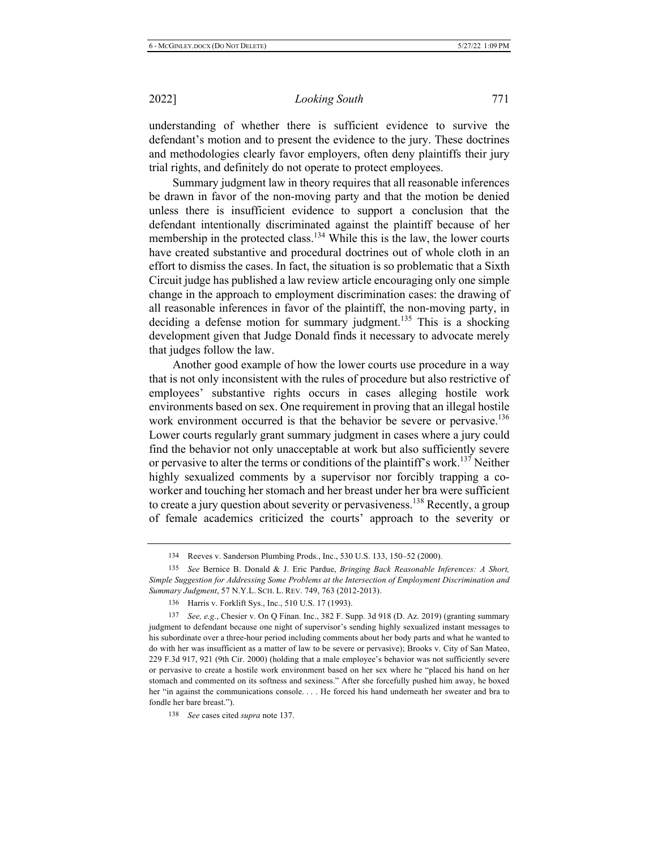understanding of whether there is sufficient evidence to survive the defendant's motion and to present the evidence to the jury. These doctrines and methodologies clearly favor employers, often deny plaintiffs their jury trial rights, and definitely do not operate to protect employees.

Summary judgment law in theory requires that all reasonable inferences be drawn in favor of the non-moving party and that the motion be denied unless there is insufficient evidence to support a conclusion that the defendant intentionally discriminated against the plaintiff because of her membership in the protected class.<sup>134</sup> While this is the law, the lower courts have created substantive and procedural doctrines out of whole cloth in an effort to dismiss the cases. In fact, the situation is so problematic that a Sixth Circuit judge has published a law review article encouraging only one simple change in the approach to employment discrimination cases: the drawing of all reasonable inferences in favor of the plaintiff, the non-moving party, in deciding a defense motion for summary judgment.<sup>135</sup> This is a shocking development given that Judge Donald finds it necessary to advocate merely that judges follow the law.

Another good example of how the lower courts use procedure in a way that is not only inconsistent with the rules of procedure but also restrictive of employees' substantive rights occurs in cases alleging hostile work environments based on sex. One requirement in proving that an illegal hostile work environment occurred is that the behavior be severe or pervasive.<sup>136</sup> Lower courts regularly grant summary judgment in cases where a jury could find the behavior not only unacceptable at work but also sufficiently severe or pervasive to alter the terms or conditions of the plaintiff's work.<sup>137</sup> Neither highly sexualized comments by a supervisor nor forcibly trapping a coworker and touching her stomach and her breast under her bra were sufficient to create a jury question about severity or pervasiveness.<sup>138</sup> Recently, a group of female academics criticized the courts' approach to the severity or

<sup>134</sup> Reeves v. Sanderson Plumbing Prods., Inc., 530 U.S. 133, 150-52 (2000).

<sup>135</sup> See Bernice B. Donald & J. Eric Pardue, *Bringing Back Reasonable Inferences: A Short*, Simple Suggestion for Addressing Some Problems at the Intersection of Employment Discrimination and Summary Judgment, 57 N.Y.L. SCH. L. REV. 749, 763 (2012-2013).

<sup>136</sup> Harris v. Forklift Sys., Inc., 510 U.S. 17 (1993).

<sup>137</sup> *See, e.g.*, Chesier v. On Q Finan. Inc., 382 F. Supp. 3d 918 (D. Az. 2019) (granting summary judgment to defendant because one night of supervisor's sending highly sexualized instant messages to his subordinate over a three-hour period including comments about her body parts and what he wanted to do with her was insufficient as a matter of law to be severe or pervasive); Brooks v. City of San Mateo, 229 F.3d 917, 921 (9th Cir. 2000) (holding that a male employee's behavior was not sufficiently severe or pervasive to create a hostile work environment based on her sex where he "placed his hand on her stomach and commented on its softness and sexiness." After she forcefully pushed him away, he boxed her "in against the communications console.... He forced his hand underneath her sweater and bra to fondle her bare breast.").

<sup>138</sup> See cases cited *supra* note 137.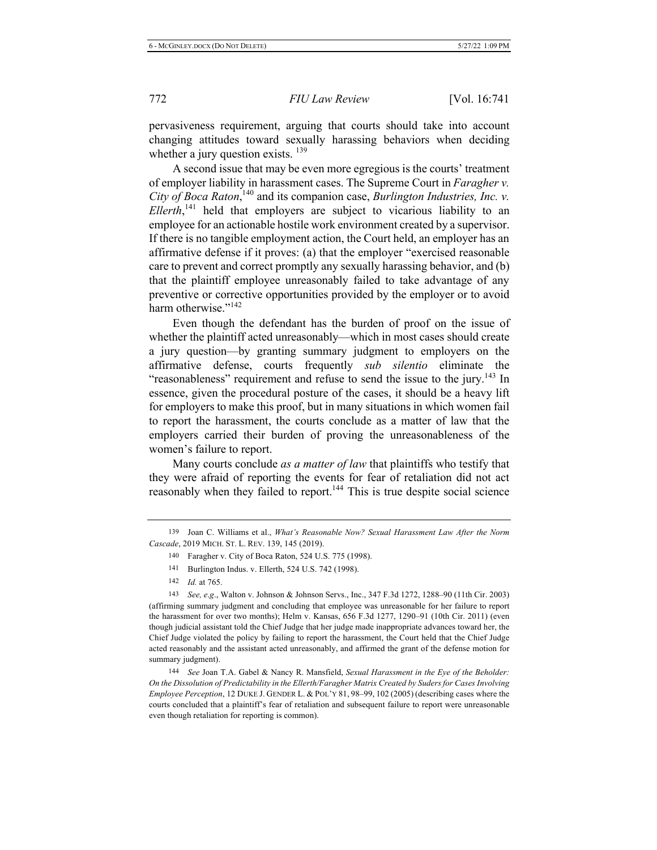pervasiveness requirement, arguing that courts should take into account changing attitudes toward sexually harassing behaviors when deciding whether a jury question exists.  $^{139}$ 

A second issue that may be even more egregious is the courts' treatment of employer liability in harassment cases. The Supreme Court in *Faragher v*. City of Boca Raton,<sup>140</sup> and its companion case, Burlington Industries, Inc. v. *Ellerth*,<sup>141</sup> held that employers are subject to vicarious liability to an employee for an actionable hostile work environment created by a supervisor. If there is no tangible employment action, the Court held, an employer has an affirmative defense if it proves: (a) that the employer "exercised reasonable care to prevent and correct promptly any sexually harassing behavior, and (b) that the plaintiff employee unreasonably failed to take advantage of any preventive or corrective opportunities provided by the employer or to avoid harm otherwise."<sup>142</sup>

Even though the defendant has the burden of proof on the issue of whether the plaintiff acted unreasonably—which in most cases should create a jury question-by granting summary judgment to employers on the affirmative defense, courts frequently *sub silentio* eliminate the "reasonableness" requirement and refuse to send the issue to the jury.<sup>143</sup> In essence, given the procedural posture of the cases, it should be a heavy lift for employers to make this proof, but in many situations in which women fail to report the harassment, the courts conclude as a matter of law that the employers carried their burden of proving the unreasonableness of the women's failure to report.

Many courts conclude as a matter of law that plaintiffs who testify that they were afraid of reporting the events for fear of retaliation did not act reasonably when they failed to report.<sup>144</sup> This is true despite social science

- 141 Burlington Indus. v. Ellerth, 524 U.S. 742 (1998).
- 142 *Id.* at 765.

143 *See, e.g.*, Walton v. Johnson & Johnson Servs., Inc., 347 F.3d 1272, 1288–90 (11th Cir. 2003) (affirming summary judgment and concluding that employee was unreasonable for her failure to report the harassment for over two months); Helm v. Kansas,  $656$  F.3d  $1277$ ,  $1290-91$  (10th Cir. 2011) (even though judicial assistant told the Chief Judge that her judge made inappropriate advances toward her, the Chief Judge violated the policy by failing to report the harassment, the Court held that the Chief Judge acted reasonably and the assistant acted unreasonably, and affirmed the grant of the defense motion for summary judgment).

144 See Joan T.A. Gabel & Nancy R. Mansfield, Sexual Harassment in the Eye of the Beholder: On the Dissolution of Predictability in the Ellerth/Faragher Matrix Created by Suders for Cases Involving Employee Perception, 12 DUKE J. GENDER L. & POL'Y 81, 98–99, 102 (2005) (describing cases where the courts concluded that a plaintiff's fear of retaliation and subsequent failure to report were unreasonable even though retaliation for reporting is common).

<sup>139</sup> Joan C. Williams et al., What's Reasonable Now? Sexual Harassment Law After the Norm Cascade, 2019 MICH. ST. L. REV. 139, 145 (2019).

<sup>140</sup> Faragher v. City of Boca Raton, 524 U.S. 775 (1998).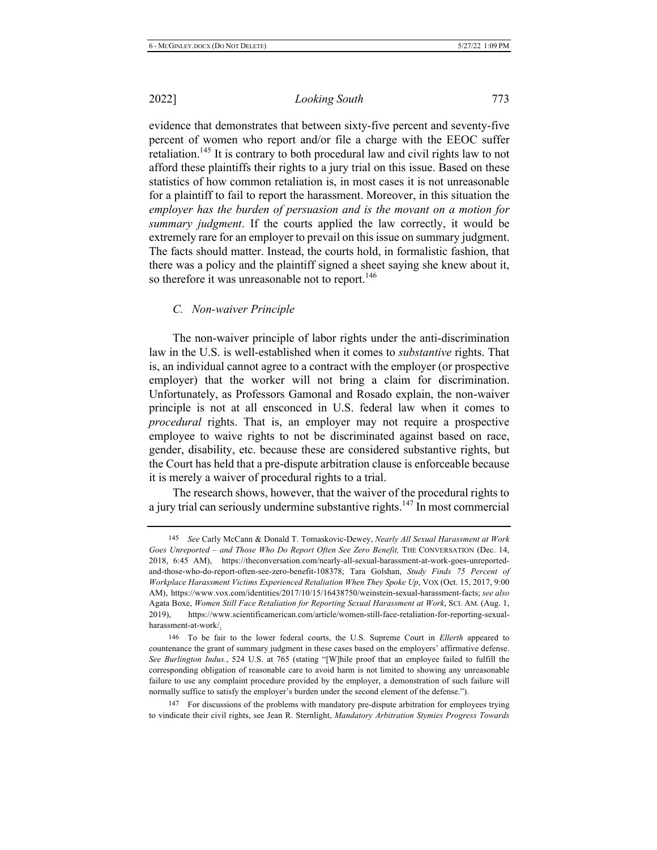*Looking South* 773

evidence that demonstrates that between sixty-five percent and seventy-five percent of women who report and/or file a charge with the EEOC suffer retaliation.<sup>145</sup> It is contrary to both procedural law and civil rights law to not afford these plaintiffs their rights to a jury trial on this issue. Based on these statistics of how common retaliation is, in most cases it is not unreasonable for a plaintiff to fail to report the harassment. Moreover, in this situation the *employer has the burden of persuasion and is the movant on a motion for summary judgment*. If the courts applied the law correctly, it would be extremely rare for an employer to prevail on this issue on summary judgment. The facts should matter. Instead, the courts hold, in formalistic fashion, that there was a policy and the plaintiff signed a sheet saying she knew about it, so therefore it was unreasonable not to report.<sup>146</sup>

#### *C. Non-waiver Principle*

The non-waiver principle of labor rights under the anti-discrimination law in the U.S. is well-established when it comes to *substantive* rights. That is, an individual cannot agree to a contract with the employer (or prospective employer) that the worker will not bring a claim for discrimination. Unfortunately, as Professors Gamonal and Rosado explain, the non-waiver principle is not at all ensconced in U.S. federal law when it comes to *procedural* rights. That is, an employer may not require a prospective employee to waive rights to not be discriminated against based on race, gender, disability, etc. because these are considered substantive rights, but the Court has held that a pre-dispute arbitration clause is enforceable because it is merely a waiver of procedural rights to a trial.

The research shows, however, that the waiver of the procedural rights to a jury trial can seriously undermine substantive rights.<sup>147</sup> In most commercial

147 For discussions of the problems with mandatory pre-dispute arbitration for employees trying to vindicate their civil rights, see Jean R. Sternlight, *Mandatory Arbitration Stymies Progress Towards* 

<sup>&</sup>lt;sup>145</sup> See Carly McCann & Donald T. Tomaskovic-Dewey, *Nearly All Sexual Harassment at Work* Goes Unreported - and Those Who Do Report Often See Zero Benefit, THE CONVERSATION (Dec. 14, 2018, 6:45 AM), https://theconversation.com/nearly-all-sexual-harassment-at-work-goes-unreportedand-those-who-do-report-often-see-zero-benefit-108378; Tara Golshan, Study Finds 75 Percent of *Workplace Harassment Victims Experienced Retaliation When They Spoke Up, VOX (Oct. 15, 2017, 9:00* AM), https://www.vox.com/identities/2017/10/15/16438750/weinstein-sexual-harassment-facts; see also Agata Boxe, Women Still Face Retaliation for Reporting Sexual Harassment at Work, SCI. AM. (Aug. 1, 2019), https://www.scientificamerican.com/article/women-still-face-retaliation-for-reporting-sexualharassment-at-work/<u>.</u>

<sup>146</sup> To be fair to the lower federal courts, the U.S. Supreme Court in *Ellerth* appeared to countenance the grant of summary judgment in these cases based on the employers' affirmative defense. See Burlington Indus., 524 U.S. at 765 (stating "[W]hile proof that an employee failed to fulfill the corresponding obligation of reasonable care to avoid harm is not limited to showing any unreasonable failure to use any complaint procedure provided by the employer, a demonstration of such failure will normally suffice to satisfy the employer's burden under the second element of the defense.").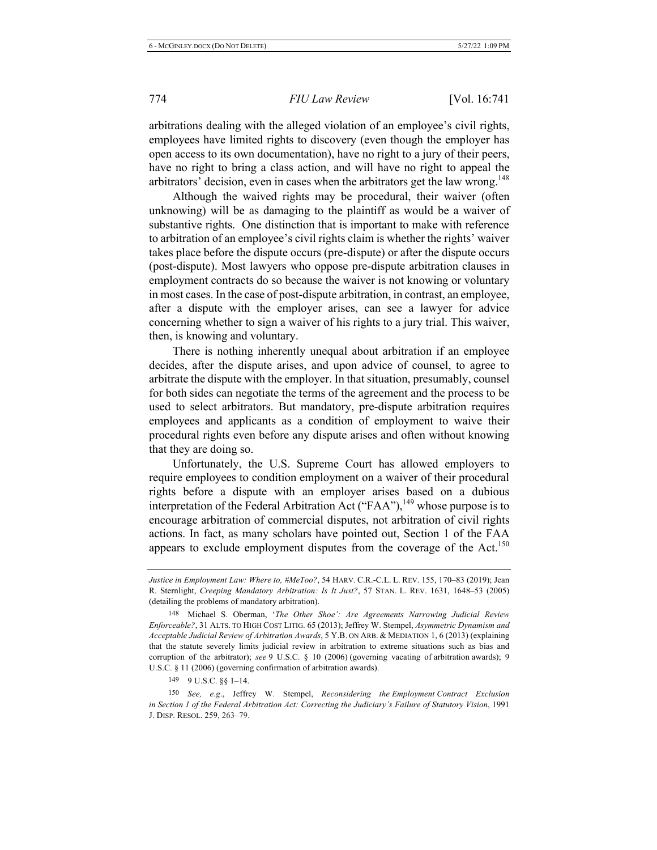arbitrations dealing with the alleged violation of an employee's civil rights, employees have limited rights to discovery (even though the employer has open access to its own documentation), have no right to a jury of their peers, have no right to bring a class action, and will have no right to appeal the arbitrators' decision, even in cases when the arbitrators get the law wrong.<sup>148</sup>

Although the waived rights may be procedural, their waiver (often unknowing) will be as damaging to the plaintiff as would be a waiver of substantive rights. One distinction that is important to make with reference to arbitration of an employee's civil rights claim is whether the rights' waiver takes place before the dispute occurs (pre-dispute) or after the dispute occurs (post-dispute). Most lawyers who oppose pre-dispute arbitration clauses in employment contracts do so because the waiver is not knowing or voluntary in most cases. In the case of post-dispute arbitration, in contrast, an employee, after a dispute with the employer arises, can see a lawyer for advice concerning whether to sign a waiver of his rights to a jury trial. This waiver, then, is knowing and voluntary.

There is nothing inherently unequal about arbitration if an employee decides, after the dispute arises, and upon advice of counsel, to agree to arbitrate the dispute with the employer. In that situation, presumably, counsel for both sides can negotiate the terms of the agreement and the process to be used to select arbitrators. But mandatory, pre-dispute arbitration requires employees and applicants as a condition of employment to waive their procedural rights even before any dispute arises and often without knowing that they are doing so.

Unfortunately, the U.S. Supreme Court has allowed employers to require employees to condition employment on a waiver of their procedural rights before a dispute with an employer arises based on a dubious interpretation of the Federal Arbitration Act ("FAA"),<sup>149</sup> whose purpose is to encourage arbitration of commercial disputes, not arbitration of civil rights actions. In fact, as many scholars have pointed out, Section 1 of the FAA appears to exclude employment disputes from the coverage of the Act.<sup>150</sup>

149 9 U.S.C.  $\S\S 1-14$ .

150 See, e.g., Jeffrey W. Stempel, Reconsidering the Employment Contract Exclusion in Section 1 of the Federal Arbitration Act: Correcting the Judiciary's Failure of Statutory Vision, 1991 J. DISP. RESOL. 259, 263-79.

Justice in Employment Law: Where to, #MeToo?, 54 HARV. C.R.-C.L. L. REV. 155, 170–83 (2019); Jean R. Sternlight, Creeping Mandatory Arbitration: Is It Just?, 57 STAN. L. REV. 1631, 1648-53 (2005) (detailing the problems of mandatory arbitration).

<sup>148</sup> Michael S. Oberman, 'The Other Shoe': Are Agreements Narrowing Judicial Review Enforceable?, 31 ALTS. TO HIGH COST LITIG. 65 (2013); Jeffrey W. Stempel, Asymmetric Dynamism and Acceptable Judicial Review of Arbitration Awards, 5 Y.B. ON ARB. & MEDIATION 1, 6 (2013) (explaining that the statute severely limits judicial review in arbitration to extreme situations such as bias and corruption of the arbitrator); see 9 U.S.C. § 10 (2006) (governing vacating of arbitration awards); 9 U.S.C. § 11 (2006) (governing confirmation of arbitration awards).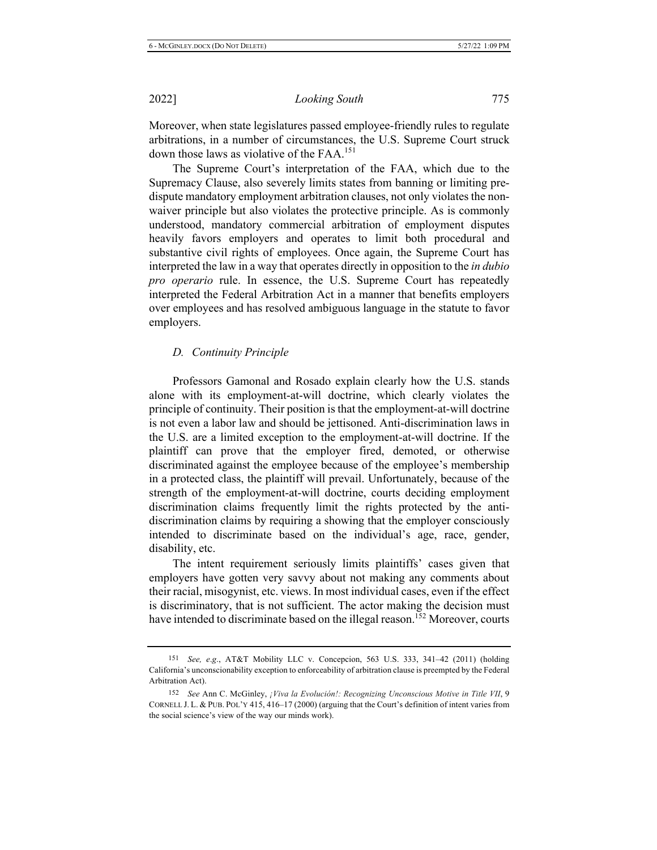Moreover, when state legislatures passed employee-friendly rules to regulate arbitrations, in a number of circumstances, the U.S. Supreme Court struck down those laws as violative of the  $FAA$ <sup>151</sup>

The Supreme Court's interpretation of the FAA, which due to the Supremacy Clause, also severely limits states from banning or limiting predispute mandatory employment arbitration clauses, not only violates the nonwaiver principle but also violates the protective principle. As is commonly understood, mandatory commercial arbitration of employment disputes heavily favors employers and operates to limit both procedural and substantive civil rights of employees. Once again, the Supreme Court has interpreted the law in a way that operates directly in opposition to the *in dubio pro operario* rule. In essence, the U.S. Supreme Court has repeatedly interpreted the Federal Arbitration Act in a manner that benefits employers over employees and has resolved ambiguous language in the statute to favor employers.

### *D.* Continuity Principle

Professors Gamonal and Rosado explain clearly how the U.S. stands alone with its employment-at-will doctrine, which clearly violates the principle of continuity. Their position is that the employment-at-will doctrine is not even a labor law and should be jettisoned. Anti-discrimination laws in the U.S. are a limited exception to the employment-at-will doctrine. If the plaintiff can prove that the employer fired, demoted, or otherwise discriminated against the employee because of the employee's membership in a protected class, the plaintiff will prevail. Unfortunately, because of the strength of the employment-at-will doctrine, courts deciding employment discrimination claims frequently limit the rights protected by the antidiscrimination claims by requiring a showing that the employer consciously intended to discriminate based on the individual's age, race, gender, disability, etc.

The intent requirement seriously limits plaintiffs' cases given that employers have gotten very savvy about not making any comments about their racial, misogynist, etc. views. In most individual cases, even if the effect is discriminatory, that is not sufficient. The actor making the decision must have intended to discriminate based on the illegal reason.<sup>152</sup> Moreover, courts

<sup>151</sup> See, e.g., AT&T Mobility LLC v. Concepcion, 563 U.S. 333, 341-42 (2011) (holding California's unconscionability exception to enforceability of arbitration clause is preempted by the Federal Arbitration Act).

<sup>152</sup> See Ann C. McGinley, *¡Viva la Evolución!: Recognizing Unconscious Motive in Title VII*, 9 CORNELL J. L. & PUB. POL'Y 415, 416–17 (2000) (arguing that the Court's definition of intent varies from the social science's view of the way our minds work).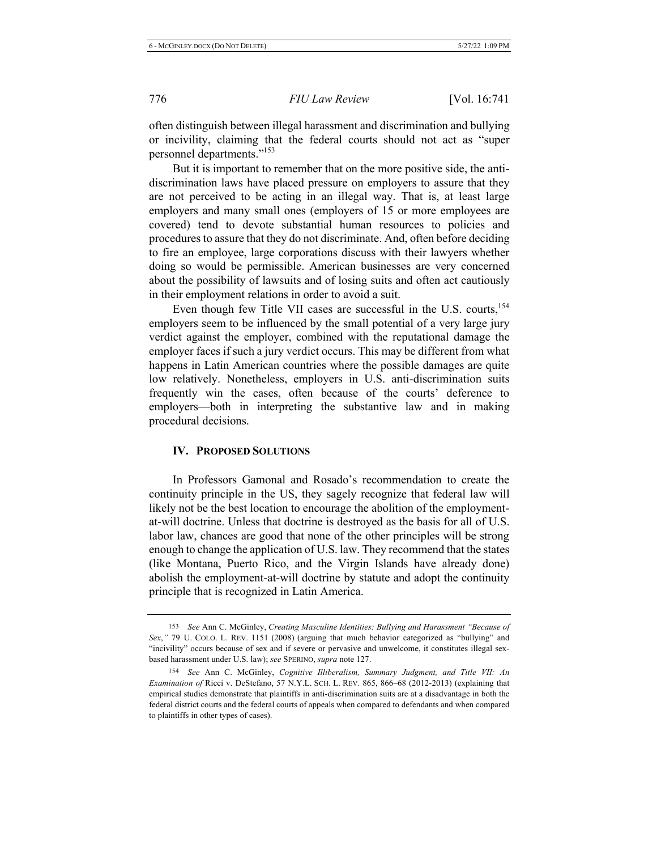often distinguish between illegal harassment and discrimination and bullying or incivility, claiming that the federal courts should not act as "super personnel departments."<sup>153</sup>

But it is important to remember that on the more positive side, the antidiscrimination laws have placed pressure on employers to assure that they are not perceived to be acting in an illegal way. That is, at least large employers and many small ones (employers of 15 or more employees are covered) tend to devote substantial human resources to policies and procedures to assure that they do not discriminate. And, often before deciding to fire an employee, large corporations discuss with their lawyers whether doing so would be permissible. American businesses are very concerned about the possibility of lawsuits and of losing suits and often act cautiously in their employment relations in order to avoid a suit.

Even though few Title VII cases are successful in the U.S. courts,  $154$ employers seem to be influenced by the small potential of a very large jury verdict against the employer, combined with the reputational damage the employer faces if such a jury verdict occurs. This may be different from what happens in Latin American countries where the possible damages are quite low relatively. Nonetheless, employers in U.S. anti-discrimination suits frequently win the cases, often because of the courts' deference to employers—both in interpreting the substantive law and in making procedural decisions.

#### **IV. PROPOSED SOLUTIONS**

In Professors Gamonal and Rosado's recommendation to create the continuity principle in the US, they sagely recognize that federal law will likely not be the best location to encourage the abolition of the employmentat-will doctrine. Unless that doctrine is destroyed as the basis for all of U.S. labor law, chances are good that none of the other principles will be strong enough to change the application of U.S. law. They recommend that the states (like Montana, Puerto Rico, and the Virgin Islands have already done) abolish the employment-at-will doctrine by statute and adopt the continuity principle that is recognized in Latin America.

<sup>153</sup> See Ann C. McGinley, Creating Masculine Identities: Bullying and Harassment "Because of Sex," 79 U. COLO. L. REV. 1151 (2008) (arguing that much behavior categorized as "bullying" and "incivility" occurs because of sex and if severe or pervasive and unwelcome, it constitutes illegal sexbased harassment under U.S. law); see SPERINO, supra note 127.

<sup>154</sup> See Ann C. McGinley, Cognitive Illiberalism, Summary Judgment, and Title VII: An Examination of Ricci v. DeStefano, 57 N.Y.L. SCH. L. REV. 865, 866–68 (2012-2013) (explaining that empirical studies demonstrate that plaintiffs in anti-discrimination suits are at a disadvantage in both the federal district courts and the federal courts of appeals when compared to defendants and when compared to plaintiffs in other types of cases).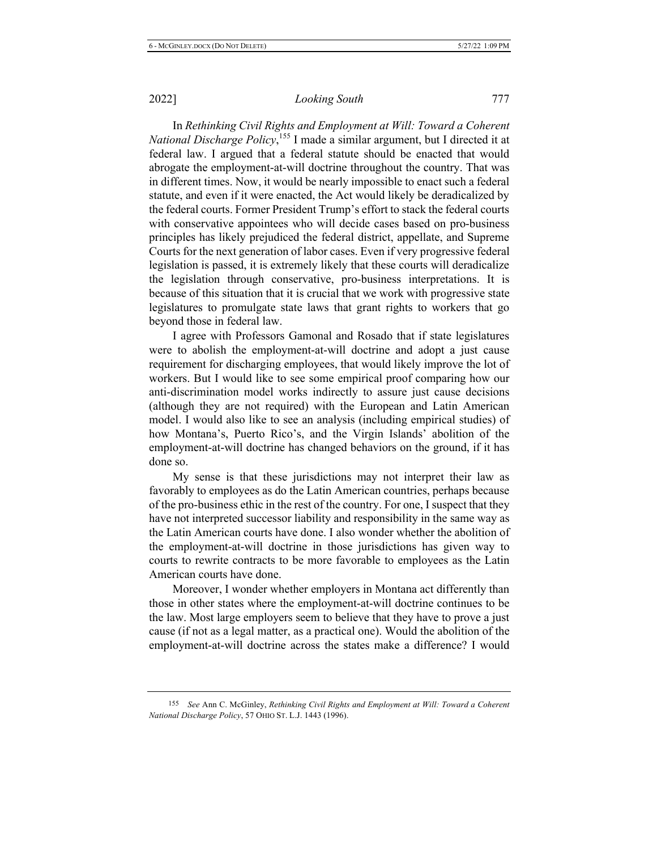In Rethinking Civil Rights and Employment at Will: Toward a Coherent *National Discharge Policy*,<sup>155</sup> I made a similar argument, but I directed it at federal law. I argued that a federal statute should be enacted that would abrogate the employment-at-will doctrine throughout the country. That was in different times. Now, it would be nearly impossible to enact such a federal statute, and even if it were enacted, the Act would likely be deradicalized by the federal courts. Former President Trump's effort to stack the federal courts with conservative appointees who will decide cases based on pro-business principles has likely prejudiced the federal district, appellate, and Supreme Courts for the next generation of labor cases. Even if very progressive federal legislation is passed, it is extremely likely that these courts will deradicalize the legislation through conservative, pro-business interpretations. It is because of this situation that it is crucial that we work with progressive state legislatures to promulgate state laws that grant rights to workers that go beyond those in federal law.

I agree with Professors Gamonal and Rosado that if state legislatures were to abolish the employment-at-will doctrine and adopt a just cause requirement for discharging employees, that would likely improve the lot of workers. But I would like to see some empirical proof comparing how our anti-discrimination model works indirectly to assure just cause decisions (although they are not required) with the European and Latin American model. I would also like to see an analysis (including empirical studies) of how Montana's, Puerto Rico's, and the Virgin Islands' abolition of the employment-at-will doctrine has changed behaviors on the ground, if it has done so.

My sense is that these jurisdictions may not interpret their law as favorably to employees as do the Latin American countries, perhaps because of the pro-business ethic in the rest of the country. For one, I suspect that they have not interpreted successor liability and responsibility in the same way as the Latin American courts have done. I also wonder whether the abolition of the employment-at-will doctrine in those jurisdictions has given way to courts to rewrite contracts to be more favorable to employees as the Latin American courts have done.

Moreover, I wonder whether employers in Montana act differently than those in other states where the employment-at-will doctrine continues to be the law. Most large employers seem to believe that they have to prove a just cause (if not as a legal matter, as a practical one). Would the abolition of the employment-at-will doctrine across the states make a difference? I would

<sup>155</sup> See Ann C. McGinley, Rethinking Civil Rights and Employment at Will: Toward a Coherent *National Discharge Policy, 57 OHIO ST. L.J. 1443 (1996).*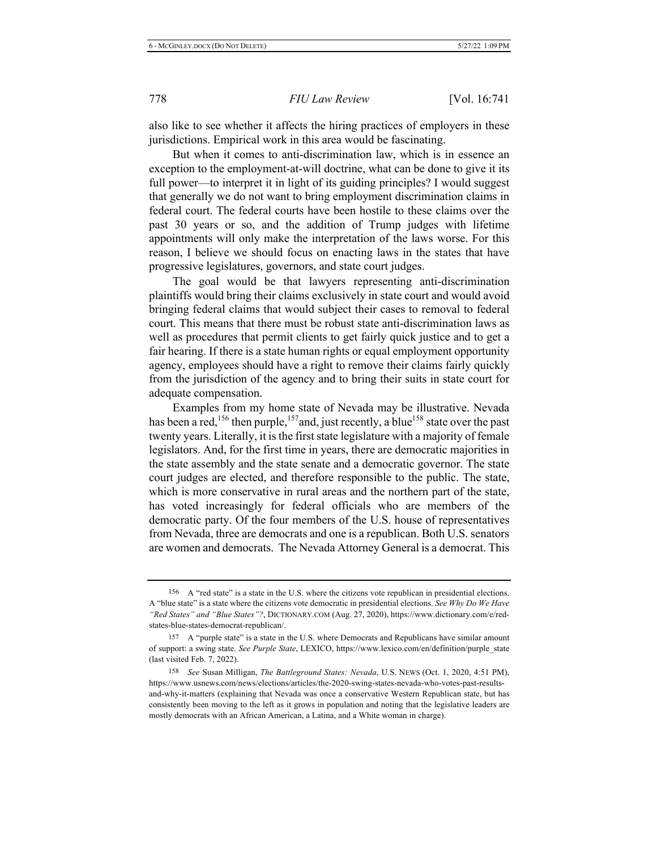also like to see whether it affects the hiring practices of employers in these jurisdictions. Empirical work in this area would be fascinating.

But when it comes to anti-discrimination law, which is in essence an exception to the employment-at-will doctrine, what can be done to give it its full power—to interpret it in light of its guiding principles? I would suggest that generally we do not want to bring employment discrimination claims in federal court. The federal courts have been hostile to these claims over the past 30 years or so, and the addition of Trump judges with lifetime appointments will only make the interpretation of the laws worse. For this reason, I believe we should focus on enacting laws in the states that have progressive legislatures, governors, and state court judges.

The goal would be that lawyers representing anti-discrimination plaintiffs would bring their claims exclusively in state court and would avoid bringing federal claims that would subject their cases to removal to federal court. This means that there must be robust state anti-discrimination laws as well as procedures that permit clients to get fairly quick justice and to get a fair hearing. If there is a state human rights or equal employment opportunity agency, employees should have a right to remove their claims fairly quickly from the jurisdiction of the agency and to bring their suits in state court for adequate compensation.

Examples from my home state of Nevada may be illustrative. Nevada has been a red,<sup>156</sup> then purple,<sup>157</sup> and, just recently, a blue<sup>158</sup> state over the past twenty years. Literally, it is the first state legislature with a majority of female legislators. And, for the first time in years, there are democratic majorities in the state assembly and the state senate and a democratic governor. The state court judges are elected, and therefore responsible to the public. The state, which is more conservative in rural areas and the northern part of the state, has voted increasingly for federal officials who are members of the democratic party. Of the four members of the U.S. house of representatives from Nevada, three are democrats and one is a republican. Both U.S. senators are women and democrats. The Nevada Attorney General is a democrat. This

<sup>156</sup> A "red state" is a state in the U.S. where the citizens vote republican in presidential elections. A "blue state" is a state where the citizens vote democratic in presidential elections. See Why Do We Have "Red States" and "Blue States"?, DICTIONARY.COM (Aug. 27, 2020), https://www.dictionary.com/e/redstates-blue-states-democrat-republican/.

<sup>157</sup> A "purple state" is a state in the U.S. where Democrats and Republicans have similar amount of support: a swing state. See Purple State, LEXICO, https://www.lexico.com/en/definition/purple state (last visited Feb. 7, 2022).

<sup>158</sup> 8 See Susan Milligan, *The Battleground States: Nevada*, U.S. NEWS (Oct. 1, 2020, 4:51 PM), https://www.usnews.com/news/elections/articles/the-2020-swing-states-nevada-who-votes-past-resultsand-why-it-matters (explaining that Nevada was once a conservative Western Republican state, but has consistently been moving to the left as it grows in population and noting that the legislative leaders are mostly democrats with an African American, a Latina, and a White woman in charge).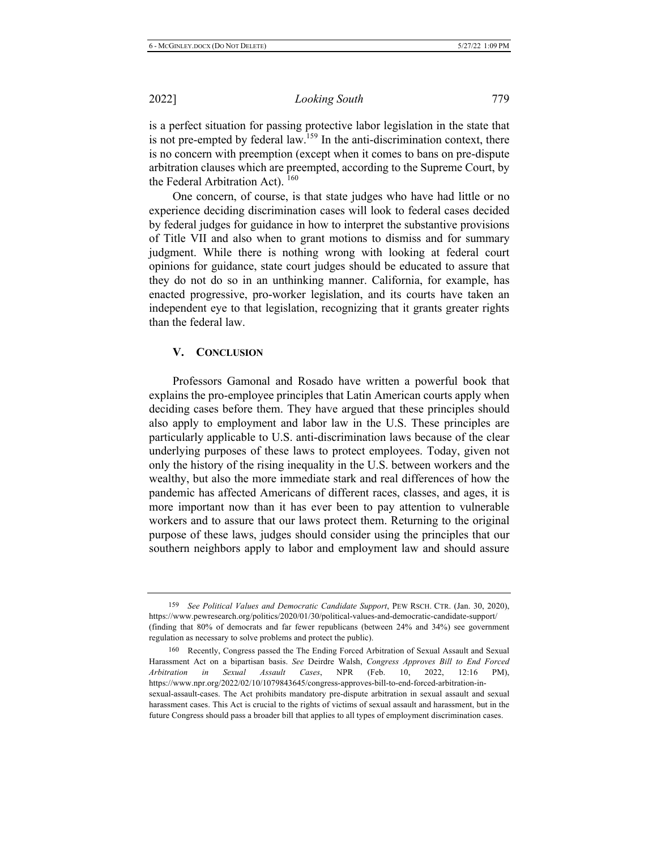is a perfect situation for passing protective labor legislation in the state that is not pre-empted by federal law.<sup>159</sup> In the anti-discrimination context, there is no concern with preemption (except when it comes to bans on pre-dispute arbitration clauses which are preempted, according to the Supreme Court, by the Federal Arbitration Act).<sup>160</sup>

One concern, of course, is that state judges who have had little or no experience deciding discrimination cases will look to federal cases decided by federal judges for guidance in how to interpret the substantive provisions of Title VII and also when to grant motions to dismiss and for summary judgment. While there is nothing wrong with looking at federal court opinions for guidance, state court judges should be educated to assure that they do not do so in an unthinking manner. California, for example, has enacted progressive, pro-worker legislation, and its courts have taken an independent eye to that legislation, recognizing that it grants greater rights than the federal law.

#### **-.** CONCLUSION

Professors Gamonal and Rosado have written a powerful book that explains the pro-employee principles that Latin American courts apply when deciding cases before them. They have argued that these principles should also apply to employment and labor law in the U.S. These principles are particularly applicable to U.S. anti-discrimination laws because of the clear underlying purposes of these laws to protect employees. Today, given not only the history of the rising inequality in the U.S. between workers and the wealthy, but also the more immediate stark and real differences of how the pandemic has affected Americans of different races, classes, and ages, it is more important now than it has ever been to pay attention to vulnerable workers and to assure that our laws protect them. Returning to the original purpose of these laws, judges should consider using the principles that our southern neighbors apply to labor and employment law and should assure

<sup>159</sup> See Political Values and Democratic Candidate Support, PEW RSCH. CTR. (Jan. 30, 2020), https://www.pewresearch.org/politics/2020/01/30/political-values-and-democratic-candidate-support/ (finding that  $80\%$  of democrats and far fewer republicans (between  $24\%$  and  $34\%$ ) see government regulation as necessary to solve problems and protect the public).

<sup>160</sup> Recently, Congress passed the The Ending Forced Arbitration of Sexual Assault and Sexual Harassment Act on a bipartisan basis. See Deirdre Walsh, Congress Approves Bill to End Forced *Arbitration* in *Sexual Assault Cases*, NPR (Feb.  $10, 2022, 12:16 \text{ PM}$ , https://www.npr.org/2022/02/10/1079843645/congress-approves-bill-to-end-forced-arbitration-insexual-assault-cases. The Act prohibits mandatory pre-dispute arbitration in sexual assault and sexual harassment cases. This Act is crucial to the rights of victims of sexual assault and harassment, but in the future Congress should pass a broader bill that applies to all types of employment discrimination cases.